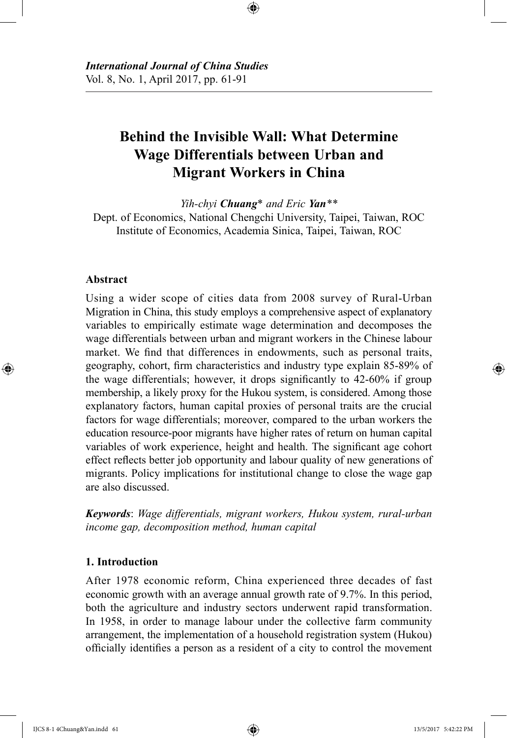# **Behind the Invisible Wall: What Determine Wage Differentials between Urban and Migrant Workers in China**

⊕

*Yih-chyi Chuang*\* *and Eric Yan\*\** Dept. of Economics, National Chengchi University, Taipei, Taiwan, ROC Institute of Economics, Academia Sinica, Taipei, Taiwan, ROC

### **Abstract**

⊕

Using a wider scope of cities data from 2008 survey of Rural-Urban Migration in China, this study employs a comprehensive aspect of explanatory variables to empirically estimate wage determination and decomposes the wage differentials between urban and migrant workers in the Chinese labour market. We find that differences in endowments, such as personal traits, geography, cohort, firm characteristics and industry type explain 85-89% of the wage differentials; however, it drops significantly to 42-60% if group membership, a likely proxy for the Hukou system, is considered. Among those explanatory factors, human capital proxies of personal traits are the crucial factors for wage differentials; moreover, compared to the urban workers the education resource-poor migrants have higher rates of return on human capital variables of work experience, height and health. The significant age cohort effect reflects better job opportunity and labour quality of new generations of migrants. Policy implications for institutional change to close the wage gap are also discussed.

*Keywords*: *Wage differentials, migrant workers, Hukou system, rural-urban income gap, decomposition method, human capital*

# **1. Introduction**

After 1978 economic reform, China experienced three decades of fast economic growth with an average annual growth rate of 9.7%. In this period, both the agriculture and industry sectors underwent rapid transformation. In 1958, in order to manage labour under the collective farm community arrangement, the implementation of a household registration system (Hukou) officially identifies a person as a resident of a city to control the movement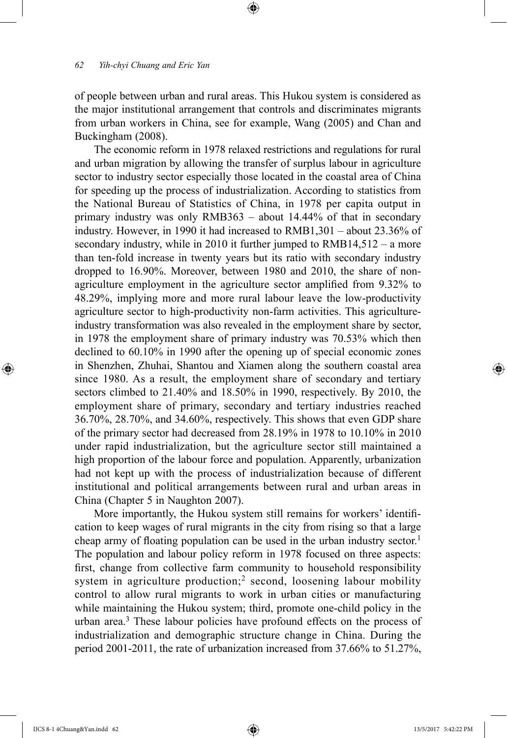of people between urban and rural areas. This Hukou system is considered as the major institutional arrangement that controls and discriminates migrants from urban workers in China, see for example, Wang (2005) and Chan and Buckingham (2008).

⊕

The economic reform in 1978 relaxed restrictions and regulations for rural and urban migration by allowing the transfer of surplus labour in agriculture sector to industry sector especially those located in the coastal area of China for speeding up the process of industrialization. According to statistics from the National Bureau of Statistics of China, in 1978 per capita output in primary industry was only RMB363 – about 14.44% of that in secondary industry. However, in 1990 it had increased to RMB1,301 – about 23.36% of secondary industry, while in 2010 it further jumped to RMB14,512 – a more than ten-fold increase in twenty years but its ratio with secondary industry dropped to 16.90%. Moreover, between 1980 and 2010, the share of nonagriculture employment in the agriculture sector amplified from 9.32% to 48.29%, implying more and more rural labour leave the low-productivity agriculture sector to high-productivity non-farm activities. This agricultureindustry transformation was also revealed in the employment share by sector, in 1978 the employment share of primary industry was 70.53% which then declined to 60.10% in 1990 after the opening up of special economic zones in Shenzhen, Zhuhai, Shantou and Xiamen along the southern coastal area since 1980. As a result, the employment share of secondary and tertiary sectors climbed to 21.40% and 18.50% in 1990, respectively. By 2010, the employment share of primary, secondary and tertiary industries reached 36.70%, 28.70%, and 34.60%, respectively. This shows that even GDP share of the primary sector had decreased from 28.19% in 1978 to 10.10% in 2010 under rapid industrialization, but the agriculture sector still maintained a high proportion of the labour force and population. Apparently, urbanization had not kept up with the process of industrialization because of different institutional and political arrangements between rural and urban areas in China (Chapter 5 in Naughton 2007).

More importantly, the Hukou system still remains for workers' identification to keep wages of rural migrants in the city from rising so that a large cheap army of floating population can be used in the urban industry sector.<sup>1</sup> The population and labour policy reform in 1978 focused on three aspects: first, change from collective farm community to household responsibility system in agriculture production;<sup>2</sup> second, loosening labour mobility control to allow rural migrants to work in urban cities or manufacturing while maintaining the Hukou system; third, promote one-child policy in the urban area.<sup>3</sup> These labour policies have profound effects on the process of industrialization and demographic structure change in China. During the period 2001-2011, the rate of urbanization increased from 37.66% to 51.27%,

⊕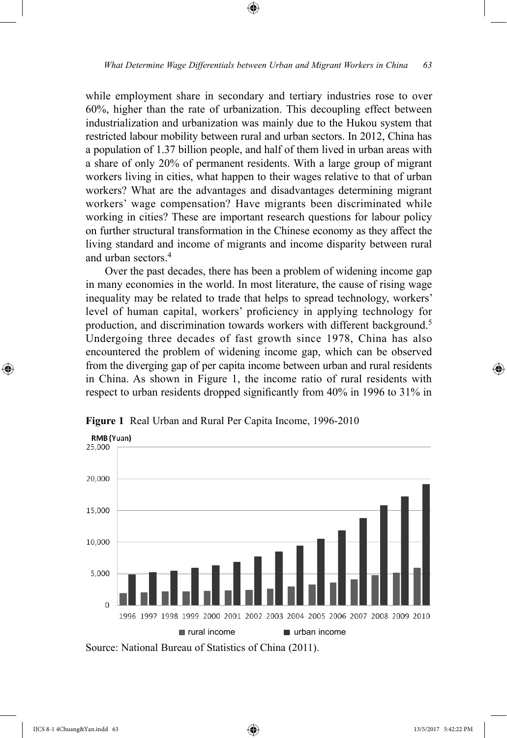⊕

while employment share in secondary and tertiary industries rose to over 60%, higher than the rate of urbanization. This decoupling effect between industrialization and urbanization was mainly due to the Hukou system that restricted labour mobility between rural and urban sectors. In 2012, China has a population of 1.37 billion people, and half of them lived in urban areas with a share of only 20% of permanent residents. With a large group of migrant workers living in cities, what happen to their wages relative to that of urban workers? What are the advantages and disadvantages determining migrant workers' wage compensation? Have migrants been discriminated while working in cities? These are important research questions for labour policy on further structural transformation in the Chinese economy as they affect the living standard and income of migrants and income disparity between rural and urban sectors.<sup>4</sup>

Over the past decades, there has been a problem of widening income gap in many economies in the world. In most literature, the cause of rising wage inequality may be related to trade that helps to spread technology, workers' level of human capital, workers' proficiency in applying technology for production, and discrimination towards workers with different background.<sup>5</sup> Undergoing three decades of fast growth since 1978, China has also encountered the problem of widening income gap, which can be observed from the diverging gap of per capita income between urban and rural residents in China. As shown in Figure 1, the income ratio of rural residents with respect to urban residents dropped significantly from 40% in 1996 to 31% in



**Figure 1** Real Urban and Rural Per Capita Income, 1996-2010

⊕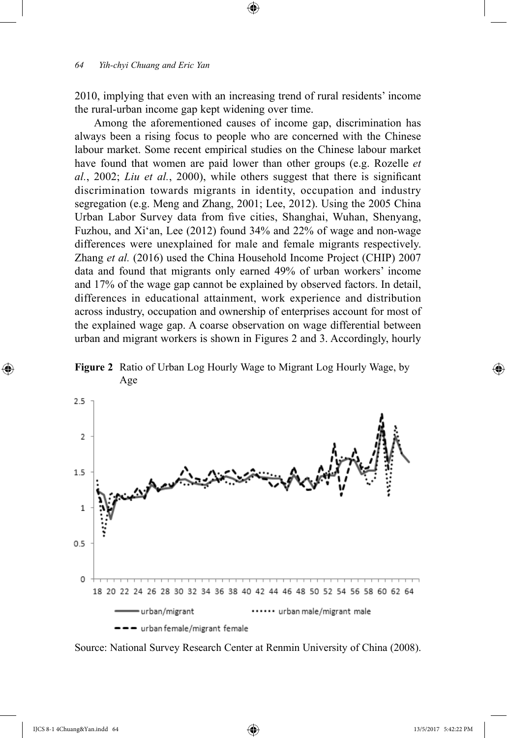2010, implying that even with an increasing trend of rural residents' income the rural-urban income gap kept widening over time.

⊕

Among the aforementioned causes of income gap, discrimination has always been a rising focus to people who are concerned with the Chinese labour market. Some recent empirical studies on the Chinese labour market have found that women are paid lower than other groups (e.g. Rozelle *et al.*, 2002; *Liu et al.*, 2000), while others suggest that there is significant discrimination towards migrants in identity, occupation and industry segregation (e.g. Meng and Zhang, 2001; Lee, 2012). Using the 2005 China Urban Labor Survey data from five cities, Shanghai, Wuhan, Shenyang, Fuzhou, and Xi'an, Lee (2012) found 34% and 22% of wage and non-wage differences were unexplained for male and female migrants respectively. Zhang *et al.* (2016) used the China Household Income Project (CHIP) 2007 data and found that migrants only earned 49% of urban workers' income and 17% of the wage gap cannot be explained by observed factors. In detail, differences in educational attainment, work experience and distribution across industry, occupation and ownership of enterprises account for most of the explained wage gap. A coarse observation on wage differential between urban and migrant workers is shown in Figures 2 and 3. Accordingly, hourly







⊕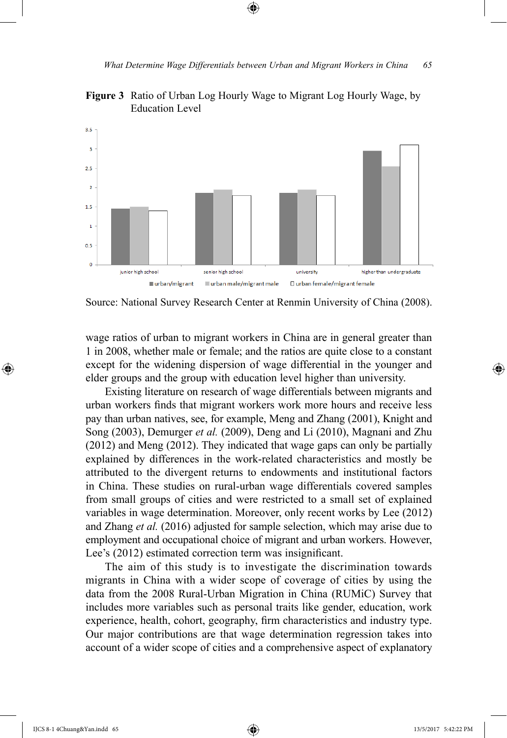

**Figure 3** Ratio of Urban Log Hourly Wage to Migrant Log Hourly Wage, by Education Level

⊕

Source: National Survey Research Center at Renmin University of China (2008).

wage ratios of urban to migrant workers in China are in general greater than 1 in 2008, whether male or female; and the ratios are quite close to a constant except for the widening dispersion of wage differential in the younger and elder groups and the group with education level higher than university.

Existing literature on research of wage differentials between migrants and urban workers finds that migrant workers work more hours and receive less pay than urban natives, see, for example, Meng and Zhang (2001), Knight and Song (2003), Demurger *et al.* (2009), Deng and Li (2010), Magnani and Zhu (2012) and Meng (2012). They indicated that wage gaps can only be partially explained by differences in the work-related characteristics and mostly be attributed to the divergent returns to endowments and institutional factors in China. These studies on rural-urban wage differentials covered samples from small groups of cities and were restricted to a small set of explained variables in wage determination. Moreover, only recent works by Lee (2012) and Zhang *et al.* (2016) adjusted for sample selection, which may arise due to employment and occupational choice of migrant and urban workers. However, Lee's (2012) estimated correction term was insignificant.

The aim of this study is to investigate the discrimination towards migrants in China with a wider scope of coverage of cities by using the data from the 2008 Rural-Urban Migration in China (RUMiC) Survey that includes more variables such as personal traits like gender, education, work experience, health, cohort, geography, firm characteristics and industry type. Our major contributions are that wage determination regression takes into account of a wider scope of cities and a comprehensive aspect of explanatory

⊕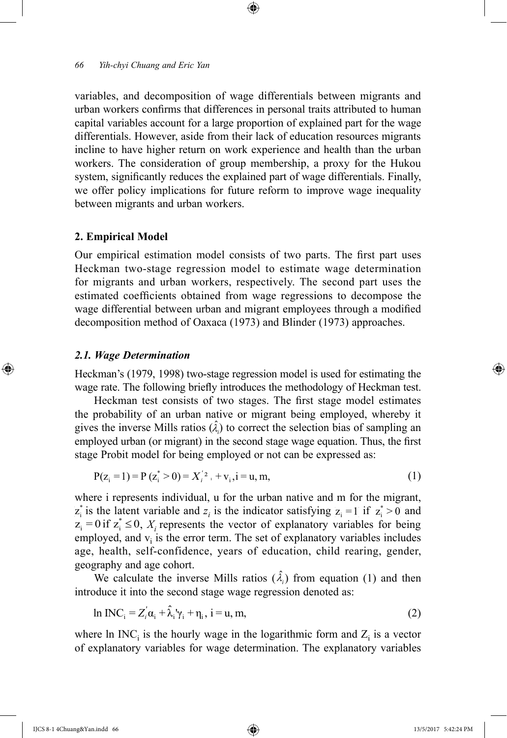variables, and decomposition of wage differentials between migrants and urban workers confirms that differences in personal traits attributed to human capital variables account for a large proportion of explained part for the wage differentials. However, aside from their lack of education resources migrants incline to have higher return on work experience and health than the urban workers. The consideration of group membership, a proxy for the Hukou system, significantly reduces the explained part of wage differentials. Finally, we offer policy implications for future reform to improve wage inequality between migrants and urban workers.

⊕

### **2. Empirical Model**

Our empirical estimation model consists of two parts. The first part uses Heckman two-stage regression model to estimate wage determination for migrants and urban workers, respectively. The second part uses the estimated coefficients obtained from wage regressions to decompose the wage differential between urban and migrant employees through a modified decomposition method of Oaxaca (1973) and Blinder (1973) approaches.

### *2.1. Wage Determination*

⊕

Heckman's (1979, 1998) two-stage regression model is used for estimating the wage rate. The following briefly introduces the methodology of Heckman test.

Heckman test consists of two stages. The first stage model estimates the probability of an urban native or migrant being employed, whereby it gives the inverse Mills ratios  $(\hat{\lambda}_i)$  to correct the selection bias of sampling an employed urban (or migrant) in the second stage wage equation. Thus, the first stage Probit model for being employed or not can be expressed as:

$$
P(z_i = 1) = P(z_i^* > 0) = X_i^{'2} + v_i, i = u, m,
$$
\n(1)

where i represents individual, u for the urban native and m for the migrant,  $z_i^*$  is the latent variable and  $z_i$  is the indicator satisfying  $z_i = 1$  if  $z_i^* > 0$  and  $z_i = 0$  if  $z_i^* \leq 0$ ,  $X_i$  represents the vector of explanatory variables for being employed, and  $v_i$  is the error term. The set of explanatory variables includes age, health, self-confidence, years of education, child rearing, gender, geography and age cohort.

We calculate the inverse Mills ratios  $(\hat{\lambda}_i)$  from equation (1) and then introduce it into the second stage wage regression denoted as:

$$
\ln \text{INC}_i = Z_i' \alpha_i + \hat{\lambda}_i' \gamma_i + \eta_i, \ i = u, m,
$$
\n(2)

where  $\ln \text{INC}_i$  is the hourly wage in the logarithmic form and  $Z_i$  is a vector of explanatory variables for wage determination. The explanatory variables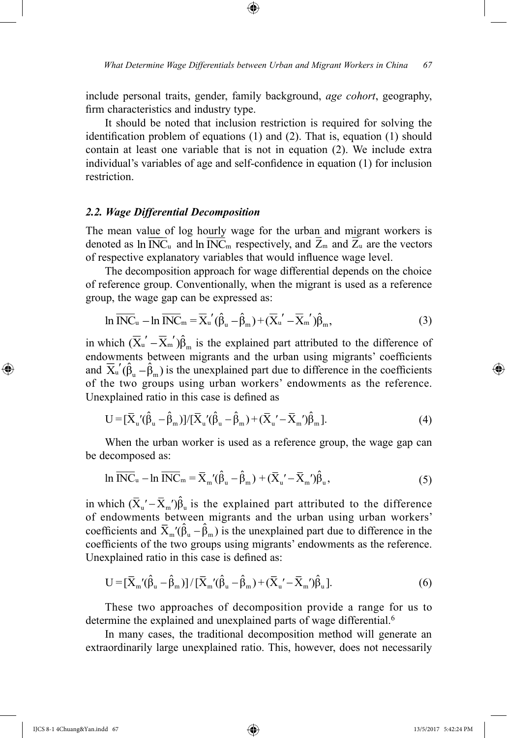include personal traits, gender, family background, *age cohort*, geography, firm characteristics and industry type.

⊕

It should be noted that inclusion restriction is required for solving the identification problem of equations (1) and (2). That is, equation (1) should contain at least one variable that is not in equation (2). We include extra individual's variables of age and self-confidence in equation (1) for inclusion restriction.

## *2.2. Wage Differential Decomposition*

The mean value of log hourly wage for the urban and migrant workers is denoted as  $\ln \overline{\text{INC}}_u$  and  $\ln \overline{\text{INC}}_m$  respectively, and  $\overline{Z}_m$  and  $\overline{Z}_u$  are the vectors of respective explanatory variables that would influence wage level.

The decomposition approach for wage differential depends on the choice of reference group. Conventionally, when the migrant is used as a reference group, the wage gap can be expressed as:

$$
\ln \overline{\text{INC}}_{\mathbf{u}} - \ln \overline{\text{INC}}_{\mathbf{m}} = \overline{\mathbf{X}}_{\mathbf{u}}'(\hat{\beta}_{\mathbf{u}} - \hat{\beta}_{\mathbf{m}}) + (\overline{\mathbf{X}}_{\mathbf{u}}' - \overline{\mathbf{X}}_{\mathbf{m}}')\hat{\beta}_{\mathbf{m}},\tag{3}
$$

in which  $(\overline{X}_{u}' - \overline{X}_{m}')\hat{\beta}_{m}$  is the explained part attributed to the difference of endowments between migrants and the urban using migrants' coefficients and  $\overline{X}_u'(\hat{\beta}_u - \hat{\beta}_m)$  is the unexplained part due to difference in the coefficients of the two groups using urban workers' endowments as the reference. Unexplained ratio in this case is defined as

$$
U = [\bar{X}_{u}^{\'}(\hat{\beta}_{u} - \hat{\beta}_{m})]/[\bar{X}_{u}^{\'}(\hat{\beta}_{u} - \hat{\beta}_{m}) + (\bar{X}_{u}^{\'} - \bar{X}_{m}^{\'})\hat{\beta}_{m}].
$$
\n(4)

When the urban worker is used as a reference group, the wage gap can be decomposed as:

$$
\ln \overline{\text{INC}}_{\mathbf{u}} - \ln \overline{\text{INC}}_{\mathbf{m}} = \overline{\mathbf{X}}_{\mathbf{m}}'(\hat{\beta}_{\mathbf{u}} - \hat{\beta}_{\mathbf{m}}) + (\overline{\mathbf{X}}_{\mathbf{u}}' - \overline{\mathbf{X}}_{\mathbf{m}}')\hat{\beta}_{\mathbf{u}},\tag{5}
$$

in which  $(\bar{X}_{u}' - \bar{X}_{m}')\hat{\beta}_{u}$  is the explained part attributed to the difference of endowments between migrants and the urban using urban workers' coefficients and  $\bar{X}_{m}(\hat{\beta}_{u} - \hat{\beta}_{m})$  is the unexplained part due to difference in the coefficients of the two groups using migrants' endowments as the reference. Unexplained ratio in this case is defined as:

$$
U = [\bar{X}_{m}(\hat{\beta}_{u} - \hat{\beta}_{m})]/[\bar{X}_{m}(\hat{\beta}_{u} - \hat{\beta}_{m}) + (\bar{X}_{u} - \bar{X}_{m})\hat{\beta}_{u}].
$$
\n(6)

These two approaches of decomposition provide a range for us to determine the explained and unexplained parts of wage differential.<sup>6</sup>

In many cases, the traditional decomposition method will generate an extraordinarily large unexplained ratio. This, however, does not necessarily

IJCS 8-1 4Chuang&Yan.indd 67 13/5/2017 5:42:24 PM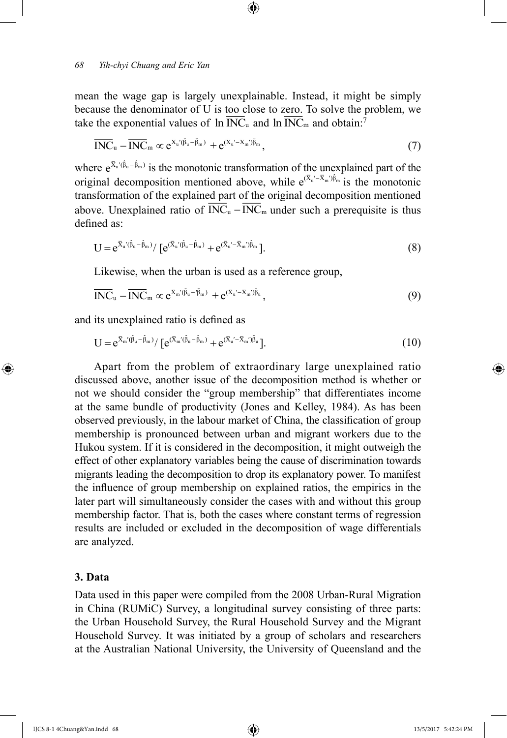mean the wage gap is largely unexplainable. Instead, it might be simply because the denominator of U is too close to zero. To solve the problem, we take the exponential values of  $\ln \overline{\text{INC}}_u$  and  $\ln \overline{\text{INC}}_m$  and obtain:<sup>7</sup>

⊕

$$
\overline{\text{INC}}_{\mathbf{u}} - \overline{\text{INC}}_{\mathbf{m}} \propto e^{\overline{\mathbf{X}}_{\mathbf{u}}'(\hat{\beta}_{\mathbf{u}} - \hat{\beta}_{\mathbf{m}})} + e^{(\overline{\mathbf{X}}_{\mathbf{u}}' - \overline{\mathbf{X}}_{\mathbf{m}}')\hat{\beta}_{\mathbf{m}}},\tag{7}
$$

where  $e^{\bar{X}_u'(\hat{\beta}_u - \hat{\beta}_m)}$  is the monotonic transformation of the unexplained part of the original decomposition mentioned above, while  $e^{(\bar{X}_u - \bar{X}_m)\hat{\beta}_m}$  is the monotonic transformation of the explained part of the original decomposition mentioned above. Unexplained ratio of  $\overline{INC}_u - \overline{INC}_m$  under such a prerequisite is thus defined as:

$$
U = e^{\bar{X}_u'(\hat{\beta}_u - \hat{\beta}_m)} / [e^{(\bar{X}_u'(\hat{\beta}_u - \hat{\beta}_m))} + e^{(\bar{X}_u' - \bar{X}_m')\hat{\beta}_m}].
$$
\n(8)

Likewise, when the urban is used as a reference group,

$$
\overline{\text{INC}}_{\mathbf{u}} - \overline{\text{INC}}_{\mathbf{m}} \propto e^{\overline{X}_{\mathbf{m}}'(\hat{\beta}_{\mathbf{u}} - \hat{\beta}_{\mathbf{m}})} + e^{(\overline{X}_{\mathbf{u}}' - \overline{X}_{\mathbf{m}}')\hat{\beta}_{\mathbf{u}}},\tag{9}
$$

and its unexplained ratio is defined as

$$
U = e^{\bar{X}_{m}(\hat{\beta}_{u}-\hat{\beta}_{m})}/[e^{(\bar{X}_{m}(\hat{\beta}_{u}-\hat{\beta}_{m})}+e^{(\bar{X}_{u}'-\bar{X}_{m}')\hat{\beta}_{u}}].
$$
\n(10)

Apart from the problem of extraordinary large unexplained ratio discussed above, another issue of the decomposition method is whether or not we should consider the "group membership" that differentiates income at the same bundle of productivity (Jones and Kelley, 1984). As has been observed previously, in the labour market of China, the classification of group membership is pronounced between urban and migrant workers due to the Hukou system. If it is considered in the decomposition, it might outweigh the effect of other explanatory variables being the cause of discrimination towards migrants leading the decomposition to drop its explanatory power. To manifest the influence of group membership on explained ratios, the empirics in the later part will simultaneously consider the cases with and without this group membership factor. That is, both the cases where constant terms of regression results are included or excluded in the decomposition of wage differentials are analyzed.

# **3. Data**

⊕

Data used in this paper were compiled from the 2008 Urban-Rural Migration in China (RUMiC) Survey, a longitudinal survey consisting of three parts: the Urban Household Survey, the Rural Household Survey and the Migrant Household Survey. It was initiated by a group of scholars and researchers at the Australian National University, the University of Queensland and the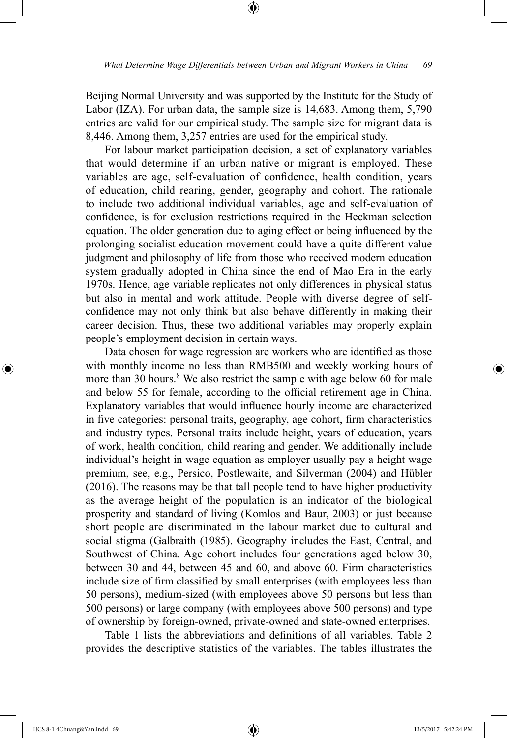⊕

Beijing Normal University and was supported by the Institute for the Study of Labor (IZA). For urban data, the sample size is 14,683. Among them, 5,790 entries are valid for our empirical study. The sample size for migrant data is 8,446. Among them, 3,257 entries are used for the empirical study.

For labour market participation decision, a set of explanatory variables that would determine if an urban native or migrant is employed. These variables are age, self-evaluation of confidence, health condition, years of education, child rearing, gender, geography and cohort. The rationale to include two additional individual variables, age and self-evaluation of confidence, is for exclusion restrictions required in the Heckman selection equation. The older generation due to aging effect or being influenced by the prolonging socialist education movement could have a quite different value judgment and philosophy of life from those who received modern education system gradually adopted in China since the end of Mao Era in the early 1970s. Hence, age variable replicates not only differences in physical status but also in mental and work attitude. People with diverse degree of selfconfidence may not only think but also behave differently in making their career decision. Thus, these two additional variables may properly explain people's employment decision in certain ways.

Data chosen for wage regression are workers who are identified as those with monthly income no less than RMB500 and weekly working hours of more than 30 hours. $8$  We also restrict the sample with age below 60 for male and below 55 for female, according to the official retirement age in China. Explanatory variables that would influence hourly income are characterized in five categories: personal traits, geography, age cohort, firm characteristics and industry types. Personal traits include height, years of education, years of work, health condition, child rearing and gender. We additionally include individual's height in wage equation as employer usually pay a height wage premium, see, e.g., Persico, Postlewaite, and Silverman (2004) and Hübler (2016). The reasons may be that tall people tend to have higher productivity as the average height of the population is an indicator of the biological prosperity and standard of living (Komlos and Baur, 2003) or just because short people are discriminated in the labour market due to cultural and social stigma (Galbraith (1985). Geography includes the East, Central, and Southwest of China. Age cohort includes four generations aged below 30, between 30 and 44, between 45 and 60, and above 60. Firm characteristics include size of firm classified by small enterprises (with employees less than 50 persons), medium-sized (with employees above 50 persons but less than 500 persons) or large company (with employees above 500 persons) and type of ownership by foreign-owned, private-owned and state-owned enterprises.

Table 1 lists the abbreviations and definitions of all variables. Table 2 provides the descriptive statistics of the variables. The tables illustrates the

IJCS 8-1 4Chuang&Yan.indd 69 13/5/2017 5:42:24 PM

⊕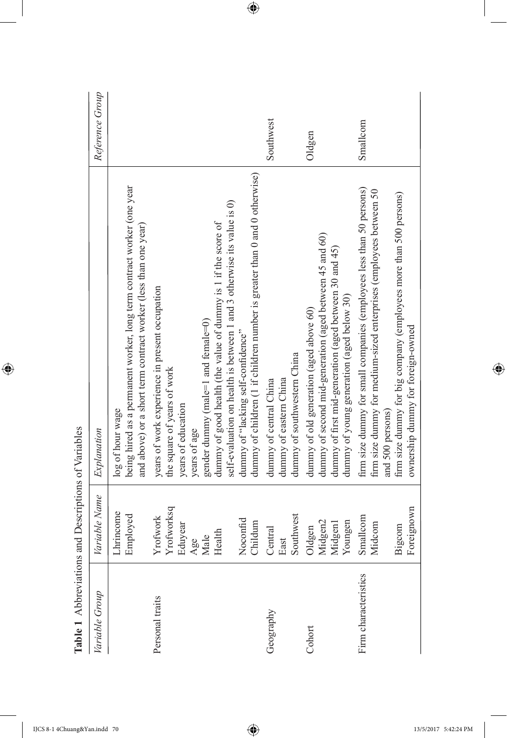| able 1 Abbiteviations and Descriptions of Variables |                                            |                                                                                                                                                                                                                                                                                                   |                 |
|-----------------------------------------------------|--------------------------------------------|---------------------------------------------------------------------------------------------------------------------------------------------------------------------------------------------------------------------------------------------------------------------------------------------------|-----------------|
| Variable Group                                      | Variable Name                              | Explanation                                                                                                                                                                                                                                                                                       | Reference Group |
|                                                     | Lhrincome<br>Employed                      | being hired as a permanent worker, long term contract worker (one year<br>and above) or a short term contract worker (less than one year)<br>log of hour wage                                                                                                                                     |                 |
| Personal traits                                     | Yrofworksq<br>Yrofwork<br>Eduyear<br>Age   | years of work experience in present occupation<br>the square of years of work<br>years of education<br>years of age                                                                                                                                                                               |                 |
|                                                     | Noconfid<br>Childum<br>Health<br>Male      | dummy of children (1 if children number is greater than 0 and 0 otherwise)<br>self-evaluation on health is between 1 and 3 otherwise its value is 0)<br>dummy of good health (the value of dummy is 1 if the score of<br>gender dummy (male=1 and female=0)<br>dummy of "lacking self-confidence" |                 |
| Geography                                           | Southwest<br>Central<br>East               | dummy of southwestern China<br>dummy of eastern China<br>dummy of central China                                                                                                                                                                                                                   | Southwest       |
| Cohort                                              | Midgen2<br>Youngen<br>Midgen1<br>Oldgen    | dummy of second mid-generation (aged between 45 and 60)<br>dummy of first mid-generation (aged between 30 and 45)<br>dummy of young generation (aged below 30)<br>dummy of old generation (aged above 60)                                                                                         | Oldgen          |
| Firm characteristics                                | Foreignown<br>Smallcom<br>Midcom<br>Bigcom | firm size dummy for small companies (employees less than 50 persons)<br>firm size dummy for medium-sized enterprises (employees between 50<br>firm size dummy for big company (employees more than 500 persons)<br>ownership dummy for foreign-owned<br>and 500 persons)                          | Smallcom        |

Table 1 Abbreviations and Descriptions of Variables **Table 1** Abbreviations and Descriptions of Variables

 $\overline{\phantom{a}}$ 

 $\bigoplus$ 

I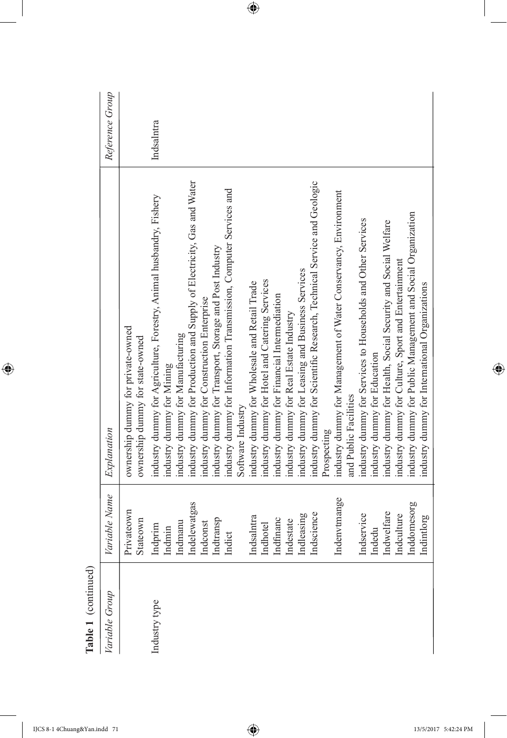| $\frac{1}{2}$  |                         |                                                                                                            |                 |
|----------------|-------------------------|------------------------------------------------------------------------------------------------------------|-----------------|
| Variable Group | Variable Name           | Explanation                                                                                                | Reference Group |
|                | Privateown<br>Stateown  | ownership dummy for private-owned<br>ownership dummy for state-owned                                       |                 |
| Industry type  | Indprim<br>Indmin       | industry dummy for Agriculture, Forestry, Animal husbandry, Fishery<br>industry dummy for Mining           | Indsalntra      |
|                | Indelewatgas<br>Indmanu | industry dummy for Production and Supply of Electricity, Gas and Water<br>industry dummy for Manufacturing |                 |
|                | Indconst                | industry dummy for Construction Enterprise                                                                 |                 |
|                | Indtransp               | industry dummy for Transport, Storage and Post Industry                                                    |                 |
|                | Indict                  | industry dummy for Information Transmission, Computer Services and                                         |                 |
|                |                         | Software Industry                                                                                          |                 |
|                | Indsalntra              | industry dummy for Wholesale and Retail Trade                                                              |                 |
|                | Indhotel                | industry dummy for Hotel and Catering Services                                                             |                 |
|                | Indfinanc               | industry dummy for Financial Intermediation                                                                |                 |
|                | Indestate               | industry dummy for Real Estate Industry                                                                    |                 |
|                | Indleasing              | industry dummy for Leasing and Business Services                                                           |                 |
|                | Indscience              | industry dummy for Scientific Research, Technical Service and Geologic                                     |                 |
|                |                         | Prospecting                                                                                                |                 |
|                | Indenvtmange            | industry dummy for Management of Water Conservancy, Environment<br>and Public Facilities                   |                 |
|                |                         |                                                                                                            |                 |
|                | Indservice              | industry dummy for Services to Households and Other Services                                               |                 |
|                | Indedu                  | industry dummy for Education                                                                               |                 |
|                | Indwelfare              | industry dummy for Health, Social Security and Social Welfare                                              |                 |
|                | Indculture              | industry dummy for Culture, Sport and Entertainment                                                        |                 |
|                | Inddomesorg             | industry dummy for Public Management and Social Organization                                               |                 |
|                | Indintlorg              | industry dummy for International Organizations                                                             |                 |
|                |                         |                                                                                                            |                 |

Table 1 (continued) **Table 1** (continued)

 $\overline{\phantom{a}}$ 

 $\bigoplus$ 

I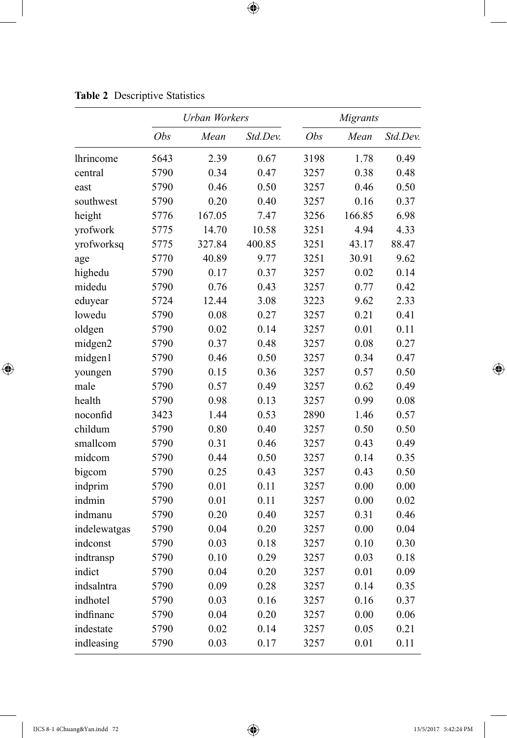|                  |      | <b>Urban Workers</b> |          |      | Migrants |          |
|------------------|------|----------------------|----------|------|----------|----------|
|                  | Obs  | Mean                 | Std.Dev. | Obs  | Mean     | Std.Dev. |
| <i>lhrincome</i> | 5643 | 2.39                 | 0.67     | 3198 | 1.78     | 0.49     |
| central          | 5790 | 0.34                 | 0.47     | 3257 | 0.38     | 0.48     |
| east             | 5790 | 0.46                 | 0.50     | 3257 | 0.46     | 0.50     |
| southwest        | 5790 | 0.20                 | 0.40     | 3257 | 0.16     | 0.37     |
| height           | 5776 | 167.05               | 7.47     | 3256 | 166.85   | 6.98     |
| yrofwork         | 5775 | 14.70                | 10.58    | 3251 | 4.94     | 4.33     |
| yrofworksq       | 5775 | 327.84               | 400.85   | 3251 | 43.17    | 88.47    |
| age              | 5770 | 40.89                | 9.77     | 3251 | 30.91    | 9.62     |
| highedu          | 5790 | 0.17                 | 0.37     | 3257 | 0.02     | 0.14     |
| midedu           | 5790 | 0.76                 | 0.43     | 3257 | 0.77     | 0.42     |
| eduyear          | 5724 | 12.44                | 3.08     | 3223 | 9.62     | 2.33     |
| lowedu           | 5790 | 0.08                 | 0.27     | 3257 | 0.21     | 0.41     |
| oldgen           | 5790 | 0.02                 | 0.14     | 3257 | 0.01     | 0.11     |
| midgen2          | 5790 | 0.37                 | 0.48     | 3257 | 0.08     | 0.27     |
| midgen1          | 5790 | 0.46                 | 0.50     | 3257 | 0.34     | 0.47     |
| youngen          | 5790 | 0.15                 | 0.36     | 3257 | 0.57     | 0.50     |
| male             | 5790 | 0.57                 | 0.49     | 3257 | 0.62     | 0.49     |
| health           | 5790 | 0.98                 | 0.13     | 3257 | 0.99     | 0.08     |
| noconfid         | 3423 | 1.44                 | 0.53     | 2890 | 1.46     | 0.57     |
| childum          | 5790 | 0.80                 | 0.40     | 3257 | 0.50     | 0.50     |
| smallcom         | 5790 | 0.31                 | 0.46     | 3257 | 0.43     | 0.49     |
| midcom           | 5790 | 0.44                 | 0.50     | 3257 | 0.14     | 0.35     |
| bigcom           | 5790 | 0.25                 | 0.43     | 3257 | 0.43     | 0.50     |
| indprim          | 5790 | 0.01                 | 0.11     | 3257 | 0.00     | 0.00     |
| indmin           | 5790 | 0.01                 | 0.11     | 3257 | 0.00     | 0.02     |
| indmanu          | 5790 | 0.20                 | 0.40     | 3257 | 0.31     | 0.46     |
| indelewatgas     | 5790 | 0.04                 | 0.20     | 3257 | 0.00     | 0.04     |
| indconst         | 5790 | 0.03                 | 0.18     | 3257 | 0.10     | 0.30     |
| indtransp        | 5790 | 0.10                 | 0.29     | 3257 | 0.03     | 0.18     |
| indict           | 5790 | 0.04                 | 0.20     | 3257 | 0.01     | 0.09     |
| indsalntra       | 5790 | 0.09                 | 0.28     | 3257 | 0.14     | 0.35     |
| indhotel         | 5790 | 0.03                 | 0.16     | 3257 | 0.16     | 0.37     |
| indfinanc        | 5790 | 0.04                 | 0.20     | 3257 | 0.00     | 0.06     |
| indestate        | 5790 | 0.02                 | 0.14     | 3257 | 0.05     | 0.21     |
| indleasing       | 5790 | 0.03                 | 0.17     | 3257 | 0.01     | 0.11     |

**Table 2** Descriptive Statistics

 $\overline{\phantom{a}}$ 

 $\bigoplus$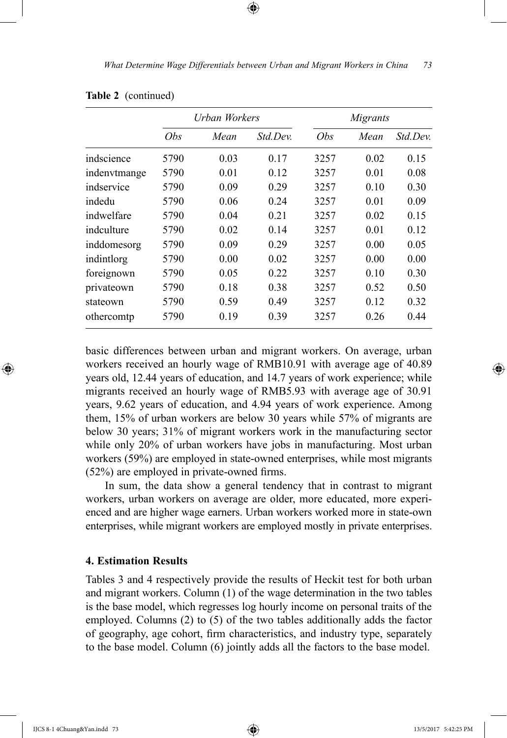⊕

|              |            | Urban Workers |                 |            | Migrants |                 |
|--------------|------------|---------------|-----------------|------------|----------|-----------------|
|              | <i>Obs</i> | Mean          | <i>Std Dev.</i> | <i>Obs</i> | Mean     | <i>Std Dev.</i> |
| indscience   | 5790       | 0.03          | 0.17            | 3257       | 0.02     | 0.15            |
| indenvtmange | 5790       | 0.01          | 0.12            | 3257       | 0.01     | 0.08            |
| indservice   | 5790       | 0.09          | 0.29            | 3257       | 0.10     | 0.30            |
| indedu       | 5790       | 0.06          | 0.24            | 3257       | 0.01     | 0.09            |
| indwelfare   | 5790       | 0.04          | 0.21            | 3257       | 0.02     | 0.15            |
| indculture   | 5790       | 0.02          | 0.14            | 3257       | 0.01     | 0.12            |
| inddomesorg  | 5790       | 0.09          | 0.29            | 3257       | 0.00     | 0.05            |
| indintlorg   | 5790       | 0.00          | 0.02            | 3257       | 0.00     | 0.00            |
| foreignown   | 5790       | 0.05          | 0.22            | 3257       | 0.10     | 0.30            |
| privateown   | 5790       | 0.18          | 0.38            | 3257       | 0.52     | 0.50            |
| stateown     | 5790       | 0.59          | 0.49            | 3257       | 0.12     | 0.32            |
| othercomtp   | 5790       | 0.19          | 0.39            | 3257       | 0.26     | 0.44            |

basic differences between urban and migrant workers. On average, urban workers received an hourly wage of RMB10.91 with average age of 40.89 years old, 12.44 years of education, and 14.7 years of work experience; while migrants received an hourly wage of RMB5.93 with average age of 30.91 years, 9.62 years of education, and 4.94 years of work experience. Among them, 15% of urban workers are below 30 years while 57% of migrants are below 30 years; 31% of migrant workers work in the manufacturing sector while only 20% of urban workers have jobs in manufacturing. Most urban workers (59%) are employed in state-owned enterprises, while most migrants (52%) are employed in private-owned firms.

In sum, the data show a general tendency that in contrast to migrant workers, urban workers on average are older, more educated, more experienced and are higher wage earners. Urban workers worked more in state-own enterprises, while migrant workers are employed mostly in private enterprises.

# **4. Estimation Results**

Tables 3 and 4 respectively provide the results of Heckit test for both urban and migrant workers. Column (1) of the wage determination in the two tables is the base model, which regresses log hourly income on personal traits of the employed. Columns (2) to (5) of the two tables additionally adds the factor of geography, age cohort, firm characteristics, and industry type, separately to the base model. Column (6) jointly adds all the factors to the base model.

⊕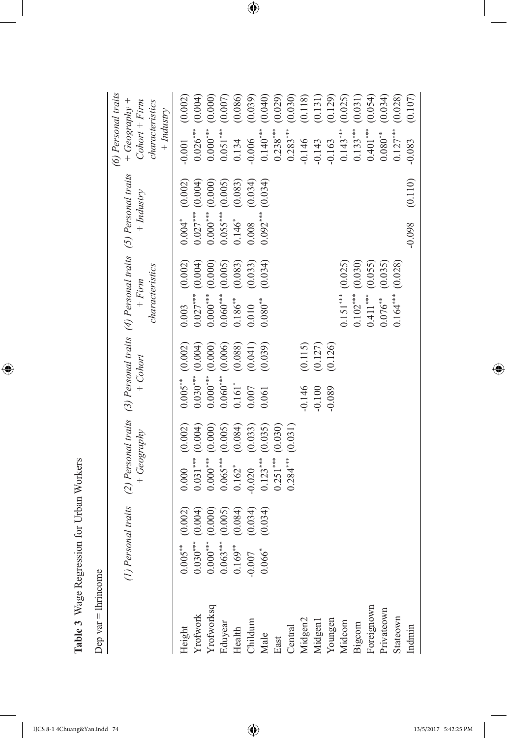| Ï<br>l                       |
|------------------------------|
| ו<br>ו                       |
| $\ddot{\sim}$<br>۱<br>)<br>١ |
| ١<br>I                       |
| י<br>י<br>l<br>ï<br>J<br>j   |
|                              |

 $\overline{\phantom{a}}$ 

 $\bigoplus$ 

Dep var  $=$  lhrincome Dep var = lhrincome

|                                                                                                                                                                                                    | $\widehat{z}$                                                                      | Personal traits (2) Personal traits (3) Personal traits (4) Personal traits (5) Personal traits<br>+ Geography | $+ Cohort$                                                                    | characteristics<br>$+ Firm$   | $+$ Industry                       | (6) Personal traits<br>$+ Geography +$<br>$Color + Firm$<br>characteristics<br>$+$ Industry |
|----------------------------------------------------------------------------------------------------------------------------------------------------------------------------------------------------|------------------------------------------------------------------------------------|----------------------------------------------------------------------------------------------------------------|-------------------------------------------------------------------------------|-------------------------------|------------------------------------|---------------------------------------------------------------------------------------------|
|                                                                                                                                                                                                    | (0.002)                                                                            | $0.000$ $(0.002)$                                                                                              | $0.005***$ (0.002)                                                            | (0.002)<br>0.003              | $0.004*$ (0.002)                   | (0.002)<br>$-0.001$                                                                         |
|                                                                                                                                                                                                    | (0.004)                                                                            | (0.004)<br>$0.031***$                                                                                          |                                                                               | (0.004)<br>$0.027***$         | (0.004)<br>$0.027***$              | (0.004)<br>$0.026***$                                                                       |
|                                                                                                                                                                                                    | (0.000)                                                                            | $0.000***$ (0.000)                                                                                             | $\begin{array}{c} 0.030^{***} \ (0.004) \\ 0.000^{***} \ (0.000) \end{array}$ | $0.000***$ (0.000)            | (0.000)<br>$0.000***$              | (0.000)<br>$0.000***$                                                                       |
| Height<br>Yrofwork<br>Yrofworksq<br>Eduyear<br>Eduyear<br>Childum<br>Male<br>Central<br>Midgen2<br>Midgen2<br>Widgen2<br>Widgen2<br>Widgen2<br>Widgen2<br>Widgen2<br>Widgen2<br>Widgen2<br>Widgen2 | (0.005)<br>$(6005**)\n0.030*** \n0.000** \n0.005*** \n0.063*** \n0.065** \n0.066*$ | $0.065***$ (0.005)<br>0.162* (0.084)                                                                           | $0.060***$ (0.006)                                                            | (0.005)<br>$0.060***$         | $0.055***$                         | $0.051***$                                                                                  |
|                                                                                                                                                                                                    | (0.084)                                                                            |                                                                                                                | (0.088)<br>$0.161$ <sup>*</sup>                                               | (0.083)<br>$0.186***$         | $(0.005)$<br>$(0.083)$<br>$0.146*$ | $(0.007)$<br>$(0.086)$<br>0.134                                                             |
|                                                                                                                                                                                                    | (0.034)                                                                            | (0.033)<br>$-0.020$                                                                                            | (0.041)<br>0.007                                                              | (0.033)<br>0.010              | (0.034)<br>0.008                   | (0.039)<br>$-0.006$                                                                         |
|                                                                                                                                                                                                    | (0.034)                                                                            | (0.035)<br>$0.123***$                                                                                          | (0.039)<br>0.061                                                              | (0.034)<br>$0.080^{\ast\ast}$ | (0.034)<br>$0.092***$              | (0.040)<br>$0.140***$                                                                       |
|                                                                                                                                                                                                    |                                                                                    | (0.030)<br>$0.251***$                                                                                          |                                                                               |                               |                                    | (0.029)<br>$0.238***$                                                                       |
|                                                                                                                                                                                                    |                                                                                    | (0.031)<br>$0.284***$                                                                                          |                                                                               |                               |                                    | $0.283***$                                                                                  |
|                                                                                                                                                                                                    |                                                                                    |                                                                                                                | (0.115)<br>$-0.146$                                                           |                               |                                    | $(0.030)$<br>$(0.118)$<br>$(0.131)$<br>$-0.146$                                             |
|                                                                                                                                                                                                    |                                                                                    |                                                                                                                | $(0.127)$<br>$(0.126)$<br>$-0.100$                                            |                               |                                    | $-0.143$                                                                                    |
|                                                                                                                                                                                                    |                                                                                    |                                                                                                                | $-0.089$                                                                      |                               |                                    | (0.129)<br>$-0.163$                                                                         |
|                                                                                                                                                                                                    |                                                                                    |                                                                                                                |                                                                               | $0.151***$ $(0.025)$          |                                    | (0.025)<br>$0.143***$                                                                       |
|                                                                                                                                                                                                    |                                                                                    |                                                                                                                |                                                                               | $0.102***$ $(0.030)$          |                                    | (0.031)<br>$0.133***$                                                                       |
|                                                                                                                                                                                                    |                                                                                    |                                                                                                                |                                                                               | (0.055)<br>$0.411***$         |                                    | (0.054)<br>$0.401***$                                                                       |
|                                                                                                                                                                                                    |                                                                                    |                                                                                                                |                                                                               | (0.035)<br>$0.076***$         |                                    | (0.034)<br>$0.080***$                                                                       |
| Stateown                                                                                                                                                                                           |                                                                                    |                                                                                                                |                                                                               | (0.028)<br>$0.164***$         |                                    | (0.028)<br>$0.127***$                                                                       |
| Indmin                                                                                                                                                                                             |                                                                                    |                                                                                                                |                                                                               |                               | (0.110)<br>$-0.098$                | (0.107)<br>$-0.083$                                                                         |

 $\bigoplus$ 

I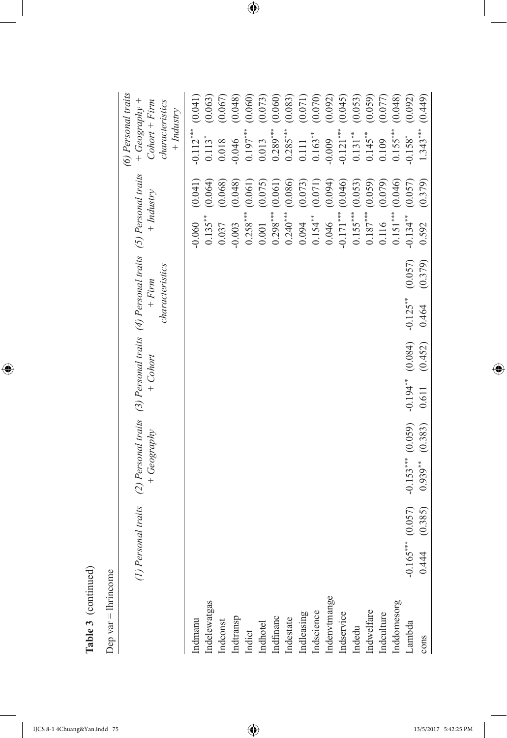| ٩<br><u>r</u> |
|---------------|

| ļ<br>Ş |
|--------|
| i      |
|        |
| đ      |
|        |
|        |

|                            |                     | (1) Personal traits (2) Personal traits (3) Personal traits (4) Personal traits (5) Personal traits<br>$+ Geography$ | $+ Cohort$          | characteristics<br>$+ Firm$ |         | $+$ Industry |         | $+ Geography +$<br>$Color + Firm$<br>characteristics<br>$+$ Industry |         |
|----------------------------|---------------------|----------------------------------------------------------------------------------------------------------------------|---------------------|-----------------------------|---------|--------------|---------|----------------------------------------------------------------------|---------|
| ndmanu                     |                     |                                                                                                                      |                     |                             |         | $-0.060$     | (0.041) | $-0.112***$                                                          | (0.041) |
| ndelewatgas                |                     |                                                                                                                      |                     |                             |         | $0.135***$   | (0.064) | $0.113*$                                                             | (0.063) |
| Indconst                   |                     |                                                                                                                      |                     |                             |         | 0.037        | (0.068) | 0.018                                                                | (0.067) |
| indtransp                  |                     |                                                                                                                      |                     |                             |         | $-0.003$     | (0.048) | $-0.046$                                                             | (0.048) |
| Indict                     |                     |                                                                                                                      |                     |                             |         | $0.258***$   | (0.061) | $0.197***$                                                           | (0.060) |
| Indhotel                   |                     |                                                                                                                      |                     |                             |         | $0.001$      | (0.075) | 0.013                                                                | (0.073) |
| Indfinanc                  |                     |                                                                                                                      |                     |                             |         | $0.298***$   | (0.061) | $0.289***$                                                           | (0.060) |
| Indestate                  |                     |                                                                                                                      |                     |                             |         | $0.240***$   | (0.086) | $0.285***$                                                           | (0.083) |
| ndleasing                  |                     |                                                                                                                      |                     |                             |         | 0.094        | (0.073) | 0.111                                                                | (0.071) |
|                            |                     |                                                                                                                      |                     |                             |         | $0.154***$   | (0.071) | $0.163***$                                                           | (0.070) |
| Indscience<br>Indenvtmange |                     |                                                                                                                      |                     |                             |         | 0.046        | (0.094) | $-0.009$                                                             | (0.092) |
| ndservice                  |                     |                                                                                                                      |                     |                             |         | $-0.171***$  | (0.046) | $-0.121***$                                                          | (0.045) |
| Indedu                     |                     |                                                                                                                      |                     |                             |         | $0.155***$   | (0.053) | $0.131***$                                                           | (0.053) |
| Indwelfare                 |                     |                                                                                                                      |                     |                             |         | $0.187***$   | (0.059) | $0.145***$                                                           | (0.059) |
| ndculture                  |                     |                                                                                                                      |                     |                             |         | 0.116        | (0.079) | 0.109                                                                | (0.077) |
| nddomesorg                 |                     |                                                                                                                      |                     |                             |         | $0.151***$   | (0.046) | $0.155***$                                                           | (0.048) |
| Lambda                     | $-0.165***$ (0.057) | $-0.153***$ (0.059)                                                                                                  | $-0.194$ ** (0.084) | $-0.125***$                 | (0.057) | $-0.134***$  | (0.057) | $-0.158$ <sup>*</sup>                                                | (0.092) |
| cons                       | (0.385)<br>0.444    | (0.383)<br>$0.939***$                                                                                                | (0.452)<br>0.611    | 0.464                       | (0.379) | 0.592        | (0.379) | $1.343***$                                                           | (0.449) |

*(6) Personal traits*

(6) Personal traits

 $\overline{\phantom{a}}$ 

 $\bigoplus$ 

IJCS 8-1 4Chuang&Yan.indd 75 13/5/2017 5:42:25 PM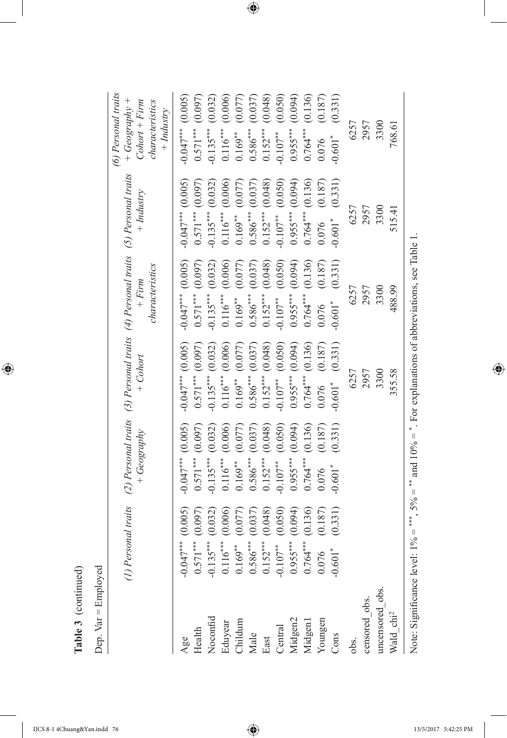|                                        | (1) Personal traits                                                                                             | $+ Geography$                                | $+$ Cohort                                     | (2) Personal traits (3) Personal traits (4) Personal traits (5) Personal traits<br>characteristics<br>$+ Firm$ | $+$ Industry                                | (6) Personal traits<br>+ $Geography$ +<br>characteristics<br>$Color + Firm$<br>$+$ Industry |
|----------------------------------------|-----------------------------------------------------------------------------------------------------------------|----------------------------------------------|------------------------------------------------|----------------------------------------------------------------------------------------------------------------|---------------------------------------------|---------------------------------------------------------------------------------------------|
| Age                                    | $-0.047***$ (0.005)                                                                                             | $-0.047***$ (0.005)                          | $-0.047***$ (0.005)                            | $-0.047***(0.005)$                                                                                             | $-0.047***$ (0.005)                         | $-0.047***$ (0.005)                                                                         |
| Health                                 | (0.097)<br>$-0.135***$ (0.032)<br>$0.571***$                                                                    | (0.097)<br>$-0.135***$ (0.032)<br>$0.571***$ | (0.097)<br>$-0.135***$ $(0.032)$<br>$0.571***$ | (0.097)<br>$-0.135***$ (0.032)<br>$0.571***$                                                                   | $0.571***$ $(0.097)$<br>$-0.135***$ (0.032) | (0.097)<br>$0.135***$ (0.032)<br>$0.571***$                                                 |
| Noconfid<br>Eduyear<br>Childum<br>Male |                                                                                                                 | (0.006)<br>$0.116***$                        | $0.116***$ (0.006)                             | (0.006)<br>$0.116***$                                                                                          | $0.116***$ (0.006)                          | $0.116***$ (0.006)                                                                          |
|                                        | $\begin{array}{c} 0.116^{***} \ (0.006) \\ 0.169^{**} \ (0.077) \\ 0.586^{***} \ (0.037) \end{array}$           | (0.077)<br>$0.169***$                        | (0.077)<br>$0.169***$                          | (0.077)<br>$0.169***$                                                                                          | (0.077)<br>$0.169***$                       | (0.077)<br>$0.169***$                                                                       |
|                                        |                                                                                                                 | (0.037)<br>$0.586***$                        | $0.586***$ (0.037)                             | (0.037)<br>$0.586***$                                                                                          | $0.586***$ (0.037)                          | (0.037)<br>$0.586***$                                                                       |
| East                                   | (0.048)<br>$0.152***$                                                                                           | (0.048)<br>$0.152***$                        | $0.152***$ $(0.048)$                           | (0.048)<br>$0.152***$                                                                                          | $0.152***$ $(0.048)$                        | (0.048)<br>$0.152***$                                                                       |
| Central<br>Midgen2<br>Midgen1          | (0.050)<br>$-0.107***$                                                                                          | (0.050)<br>$-0.107***$                       | (0.050)<br>$-0.107$ **                         | (0.050)<br>$-0.107***$                                                                                         | (0.050)<br>$-0.107***$                      | (0.050)<br>$-0.107$ <sup>**</sup>                                                           |
|                                        | (0.094)                                                                                                         | (0.094)<br>$0.955***$                        | $0.955***$ (0.094)                             | (0.094)<br>$0.955***$                                                                                          | $0.955***$ (0.094)                          | (0.094)<br>$0.955***$                                                                       |
|                                        | (0.136)<br>$0.764***$<br>0.076                                                                                  | (0.136)<br>$0.764***$                        | $0.764***$ (0.136)                             | (0.136)<br>$0.764***$                                                                                          | $0.764***$ (0.136)                          | (0.136)<br>$1***$ (                                                                         |
| Youngen                                | (0.187)                                                                                                         | (0.187)<br>0.076                             | (0.187)<br>0.076                               | (0.187)<br>0.076                                                                                               | (0.187)<br>0.076                            | (0.187)<br>0.076                                                                            |
| Cons                                   | (0.331)<br>$601$ <sup>*</sup>                                                                                   | (0.331)<br>$-0.601$ <sup>*</sup>             | (0.331)<br>$-0.601$ <sup>*</sup>               | (0.331)<br>$-0.601$ <sup>*</sup>                                                                               | (0.331)<br>$-0.601$ <sup>*</sup>            | (0.331)<br>$0.601*$                                                                         |
| obs.                                   |                                                                                                                 |                                              | 6257                                           | 6257                                                                                                           | 6257                                        | 6257                                                                                        |
| censored_obs.                          |                                                                                                                 |                                              | 2957                                           | 2957                                                                                                           | 2957                                        | 2957                                                                                        |
| meensored_obs.                         |                                                                                                                 |                                              | 3300                                           | 3300                                                                                                           | 3300                                        | 3300                                                                                        |
| $\mbox{Wald}\_{\mbox{chi}^2}$          |                                                                                                                 |                                              | 355.58                                         | 488.99                                                                                                         | 515.41                                      | 768.61                                                                                      |
|                                        | Note: Significance level: $1\% =$ ***, $5\% =$ *** and $10\% =$ *. For explanations of abbreviations, see Table |                                              |                                                |                                                                                                                |                                             |                                                                                             |

Table 3 (continued) **Table 3** (continued)

 $\bigoplus$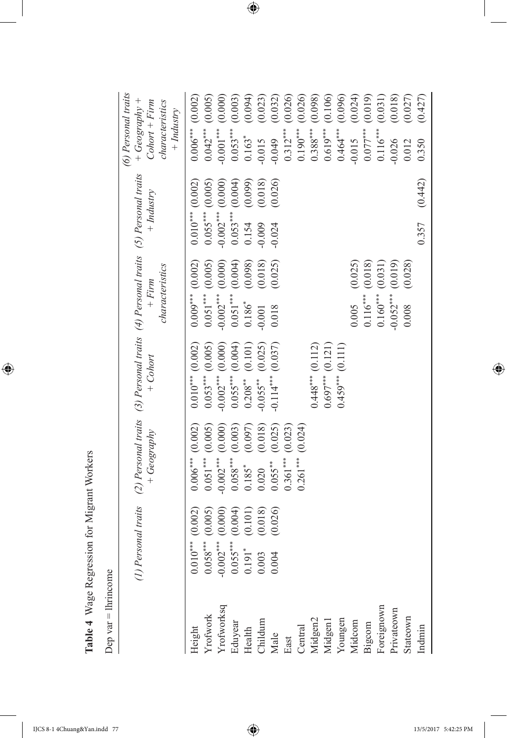| j                                   |
|-------------------------------------|
| i<br>١<br>Ï                         |
| $\ddot{\phantom{0}}$<br>١<br>֕<br>ţ |
| ちくてくるく<br>Ì<br>ļ                    |
| i<br>l<br>Ì<br>j<br>ì               |
|                                     |

Dep var  $=$  lhrincome Dep var = lhrincome

*(6) Personal traits*

(6) Personal traits

 $\overline{\phantom{a}}$ 

 $\bigoplus$ 

|                                                                                                                                                                         |                                                                                                                                                                                                                                           | (1) Personal traits (2) Personal traits (3) Personal traits (4) Personal traits (5) Personal traits<br>$+ Geography$ | $+$ Cohort             | characteristics<br>$+ Firm$ | $+$ Industry              | $+ Geography +$<br>$Color + Firm$<br>characteristics<br>$+$ Industry |
|-------------------------------------------------------------------------------------------------------------------------------------------------------------------------|-------------------------------------------------------------------------------------------------------------------------------------------------------------------------------------------------------------------------------------------|----------------------------------------------------------------------------------------------------------------------|------------------------|-----------------------------|---------------------------|----------------------------------------------------------------------|
|                                                                                                                                                                         |                                                                                                                                                                                                                                           | $0.006***$ (0.002)                                                                                                   | $0.010***$ (0.002)     | $0.009***$ (0.002)          | $0.010***$ (0.002)        | (0.002)<br>$0.006***$                                                |
|                                                                                                                                                                         |                                                                                                                                                                                                                                           | (0.005)<br>$0.051***$                                                                                                | $0.053***$ (0.005)     | $0.051***$ (0.005)          | (0.005)<br>$0.055***$ (1) | $0.042***$ (0.005)                                                   |
|                                                                                                                                                                         |                                                                                                                                                                                                                                           | (0.000)<br>$-0.002***$                                                                                               | $-0.002***$ (0.000)    | (0.000)<br>$-0.002***$      | (0.000)<br>$-0.002***$    | (0.000)<br>$-0.001***$                                               |
|                                                                                                                                                                         |                                                                                                                                                                                                                                           | (0.003)<br>$0.058***$                                                                                                | $0.055***$ (0.004)     | (0.004)<br>$0.051***$       | (0.004)<br>$0.053***$     | (0.003)<br>$0.053***$                                                |
| Height<br>Yrofworks<br>Yrofworksq<br>Eduyear<br>Elath Childum<br>Cantal<br>Central<br>Midgen1<br>Widgen1<br>Widgen1<br>Widgen1<br>Widgen1<br>Bigcom<br>Bigcom<br>Bigcom | $\begin{array}{c} 0.010^{***} \ (0.002) \\ 0.058^{***} \ (0.005) \\ -0.002^{***} \ (0.000) \\ 0.055^{***} \ (0.000) \\ 0.055^{***} \ (0.004) \\ 0.191^{*} \ (0.101) \\ 0.003 \ (0.101) \\ 0.003 \ (0.018) \\ 0.004 \ (0.026) \end{array}$ | (0.097)<br>$0.185*$                                                                                                  | (0.101)<br>$0.208***$  | (0.098)<br>$0.186*$         | (0.099)<br>0.154          | (0.094)<br>$0.163*$                                                  |
|                                                                                                                                                                         |                                                                                                                                                                                                                                           | (0.018)<br>0.020                                                                                                     | (0.025)<br>$-0.055***$ | (0.018)<br>$-0.001$         | (0.018)<br>$-0.009$       | (0.023)<br>$-0.015$                                                  |
|                                                                                                                                                                         |                                                                                                                                                                                                                                           | (0.025)<br>$0.055***$                                                                                                | (0.037)<br>$-0.114***$ | (0.025)<br>0.018            | (0.026)<br>$-0.024$       | (0.032)<br>$-0.049$                                                  |
|                                                                                                                                                                         |                                                                                                                                                                                                                                           | (0.023)<br>$0.361***$                                                                                                |                        |                             |                           | (0.026)<br>$0.312***$                                                |
|                                                                                                                                                                         |                                                                                                                                                                                                                                           | (0.024)<br>$0.261***$                                                                                                |                        |                             |                           | (0.026)<br>$0.190***$                                                |
|                                                                                                                                                                         |                                                                                                                                                                                                                                           |                                                                                                                      | $0.448***$ (0.112)     |                             |                           | (0.098)<br>$0.388***$                                                |
|                                                                                                                                                                         |                                                                                                                                                                                                                                           |                                                                                                                      | $0.697***$ (0.121)     |                             |                           | (0.106)<br>$0.619***$                                                |
|                                                                                                                                                                         |                                                                                                                                                                                                                                           |                                                                                                                      | $0.459***$ (0.111)     |                             |                           | (0.096)<br>$0.464***$                                                |
|                                                                                                                                                                         |                                                                                                                                                                                                                                           |                                                                                                                      |                        | (0.025)<br>0.005            |                           | (0.024)<br>$-0.015$                                                  |
|                                                                                                                                                                         |                                                                                                                                                                                                                                           |                                                                                                                      |                        | (0.018)<br>$0.116***$       |                           | (0.019)<br>$0.077***$                                                |
|                                                                                                                                                                         |                                                                                                                                                                                                                                           |                                                                                                                      |                        | (0.031)<br>$0.160***$       |                           | (0.031)<br>$0.116***$                                                |
|                                                                                                                                                                         |                                                                                                                                                                                                                                           |                                                                                                                      |                        | (0.019)<br>$-0.052***$      |                           | (0.018)<br>$-0.026$                                                  |
| Stateown                                                                                                                                                                |                                                                                                                                                                                                                                           |                                                                                                                      |                        | (0.028)<br>0.008            |                           | (0.027)<br>0.012                                                     |
| Indmin                                                                                                                                                                  |                                                                                                                                                                                                                                           |                                                                                                                      |                        |                             | (0.442)<br>0.357          | (0.427)<br>0.350                                                     |
|                                                                                                                                                                         |                                                                                                                                                                                                                                           |                                                                                                                      |                        |                             |                           |                                                                      |

 $\bigoplus$ 

IJCS 8-1 4Chuang&Yan.indd 77 13/5/2017 5:42:25 PM

 $\overline{\phantom{a}}$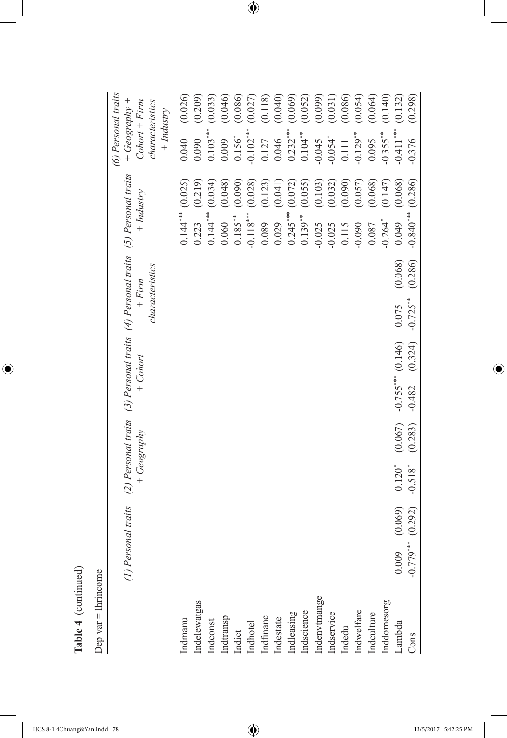| $\overline{\phantom{0}}$ |
|--------------------------|
|                          |
|                          |
| ı                        |
|                          |
| ׇ֦֡֡                     |
| i<br>۶                   |
|                          |

| ٢<br>Š |  |
|--------|--|
| I<br>ċ |  |
|        |  |

 $\overline{\phantom{a}}$ 

 $\bigoplus$ 

|              | (1) Personal traits |         | $+ Geography$ |         | (2) Personal traits (3) Personal traits (4) Personal traits (5) Personal traits<br>$+ Cohort$ |         | characteristics<br>$+ Firm$ |         |                       | $+$ Industry | (6) Personal traits<br>+ $Geography$ +<br>$Color + Firm$<br>characteristics<br>$+$ Industry |         |
|--------------|---------------------|---------|---------------|---------|-----------------------------------------------------------------------------------------------|---------|-----------------------------|---------|-----------------------|--------------|---------------------------------------------------------------------------------------------|---------|
| Indmanu      |                     |         |               |         |                                                                                               |         |                             |         | $0.144***$ $(0.025)$  |              | 0.040                                                                                       | (0.026) |
| indelewatgas |                     |         |               |         |                                                                                               |         |                             |         | 0.223                 | (0.219)      | 0.090                                                                                       | (0.209) |
| Indconst     |                     |         |               |         |                                                                                               |         |                             |         | $0.144***$            | (0.034)      | $0.103***$                                                                                  | (0.033) |
| Indtransp    |                     |         |               |         |                                                                                               |         |                             |         | 0.060                 | (0.048)      | 0.009                                                                                       | (0.046) |
| Indict       |                     |         |               |         |                                                                                               |         |                             |         | $0.185***$            | (0.090)      | $0.156*$                                                                                    | (0.086) |
| Indhotel     |                     |         |               |         |                                                                                               |         |                             |         | $-0.118***$           | (0.028)      | $-0.102$                                                                                    | (0.027) |
| Indfinanc    |                     |         |               |         |                                                                                               |         |                             |         | 0.089                 | (0.123)      | 0.127                                                                                       | (0.118) |
| Indestate    |                     |         |               |         |                                                                                               |         |                             |         | 0.029                 | (0.041)      | 0.046                                                                                       | (0.040) |
| Indleasing   |                     |         |               |         |                                                                                               |         |                             |         | $0.245***$            | (0.072)      | $0.232***$                                                                                  | (0.069) |
| Indscience   |                     |         |               |         |                                                                                               |         |                             |         | $0.139***$            | (0.055)      | $0.104***$                                                                                  | (0.052) |
| indenvtmange |                     |         |               |         |                                                                                               |         |                             |         | $-0.025$              | (0.103)      | $-0.045$                                                                                    | (0.099) |
| Indservice   |                     |         |               |         |                                                                                               |         |                             |         | $-0.025$              | (0.032)      | $-0.054$ <sup>*</sup>                                                                       | (0.031) |
| Indedu       |                     |         |               |         |                                                                                               |         |                             |         | 0.115                 | (0.090)      | 0.111                                                                                       | (0.086) |
| indwelfare   |                     |         |               |         |                                                                                               |         |                             |         | $-0.090$              | (0.057)      | $-0.129***$                                                                                 | (0.054) |
| Indculture   |                     |         |               |         |                                                                                               |         |                             |         | 0.087                 | (0.068)      | 0.095                                                                                       | (0.064) |
| Inddomesorg  |                     |         |               |         |                                                                                               |         |                             |         | $-0.264$ <sup>*</sup> | (0.147)      | $-0.355***$                                                                                 | (0.140) |
| Lambda       | 0.009               | (0.069) | $0.120*$      | (0.067) | $-0.755***$ (0.146)                                                                           |         | 0.075                       | (0.068) | 670.049               | (0.068)      | $-0.411***$                                                                                 | (0.132) |
| Cons         | $-0.779***$ (0.292) |         | $-0.518*$     | (0.283) | $-0.482$                                                                                      | (0.324) | $-0.725***$                 | (0.286) | $-0.840***$           | (0.286)      | $-0.376$                                                                                    | (0.298) |

 $\bigoplus$ 

IJCS 8-1 4Chuang&Yan.indd 78 13/5/2017 5:42:25 PM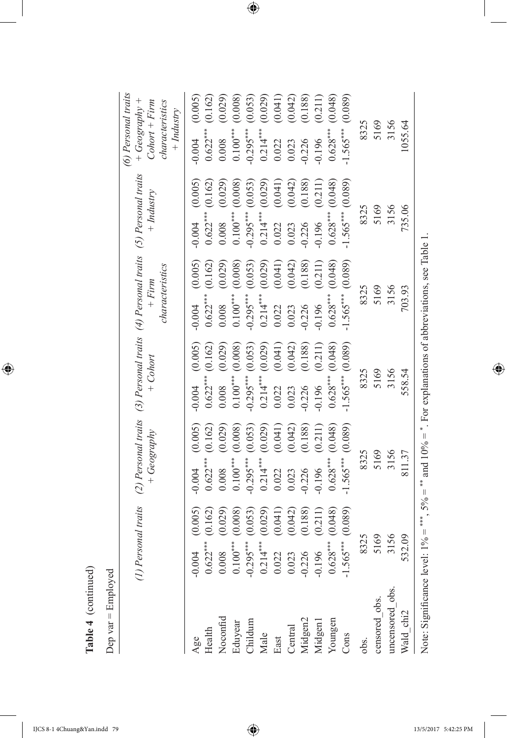|                           | (1) Personal traits                                                                        |                               | (2) Personal traits (3) Personal traits (4) Personal traits (5) Personal traits<br>$+ Geography$ |                               |                                                   | $+$ Cohort         |                           | characteristics<br>$+ Firm$              |                                         | $+$ Industry       | (6) Personal traits<br>$+ Geography +$<br>$Color + Firm$<br>characteristics<br>$+$ <i>Industry</i> |                                   |
|---------------------------|--------------------------------------------------------------------------------------------|-------------------------------|--------------------------------------------------------------------------------------------------|-------------------------------|---------------------------------------------------|--------------------|---------------------------|------------------------------------------|-----------------------------------------|--------------------|----------------------------------------------------------------------------------------------------|-----------------------------------|
| Noconfid<br>Health<br>Age | $0.622***$<br>0.004<br>0.008                                                               | (0.005)<br>(0.162)<br>(0.029) | $0.622***$<br>$-0.004$<br>0.008                                                                  | (0.005)<br>(0.162)<br>(0.029) | $-0.004$ $(0.005)$<br>$0.622***$ (0.162)<br>0.008 | (0.029)            | $-0.004$<br>0.008         | (0.005)<br>$0.622***$ (0.162)<br>(0.029) | $0.622***$ (0.162)<br>$-0.004$<br>0.008 | (0.005)<br>(0.029) | $0.622***$ (0.162)<br>$-0.004$<br>0.008                                                            | (0.005)<br>(0.029)                |
| Eduyear<br>Childum        | $0.100***$<br>$-0.295***$                                                                  | (0.008)<br>(0.053)            | $0.100***$<br>$-0.295***$                                                                        | (0.008)<br>(0.053)            | $0.100***$ (0.008)<br>$-0.295***$                 | (0.053)            | $0.100***$<br>$-0.295***$ | (0.008)<br>(0.053)                       | $0.100***$<br>$-0.295***$               | (0.008)<br>(0.053) | $0.100***$<br>$-0.295***$                                                                          | (0.008)<br>(0.053)                |
| Male<br>East              | $0.214***$<br>0.022                                                                        | (0.029)<br>(0.041)            | $0.214***$<br>0.022                                                                              | (0.029)<br>(0.041)            | $0.214***$ $(0.029)$<br>0.022                     | (0.041)            | $0.214***$<br>0.022       | (0.029)<br>(0.041)                       | $0.214***$<br>0.022                     | (0.029)<br>(0.041) | $0.214***$<br>0.022                                                                                | (0.029)                           |
| Midgen2<br>Central        | $-0.226$<br>0.023                                                                          | (0.188)<br>(0.042)            | $-0.226$<br>0.023                                                                                | (0.042)<br>(0.188)            | 0.226<br>0.023                                    | (0.042)<br>(0.188) | 0.226<br>0.023            | (0.188)<br>(0.042)                       | 0.226<br>0.023                          | (0.042)<br>(0.188) | $-0.226$<br>0.023                                                                                  | $(0.041)$<br>$(0.042)$<br>(0.188) |
| Youngen<br>Midgenl        | $0.628***$<br>$-0.196$                                                                     | (0.048)<br>(0.211)            | $0.628***$<br>$-0.196$                                                                           | (0.048)<br>(0.211)            | $0.628***$<br>$-0.196$                            | (0.048)<br>(0.211) | $0.628***$<br>0.196       | (0.048)<br>(0.211)                       | $0.628***$<br>0.196                     | (0.048)<br>(0.211) | $0.628***$<br>$-0.196$                                                                             | (0.211)<br>(0.048)                |
| Cons                      | $1.565***$                                                                                 | (0.089)                       | $-1.565***$                                                                                      | (0.089)                       | $-1.565***$ (0.089)                               |                    | $-1.565***$               | (0.089)                                  | $-1.565***$                             | (0.089)            | $-1.565***$                                                                                        | (0.089)                           |
| obs.                      | 8325                                                                                       |                               | 8325                                                                                             |                               | 8325                                              |                    | 8325                      |                                          | 8325                                    |                    | 8325                                                                                               |                                   |
| censored_obs.             | 5169                                                                                       |                               | 5169                                                                                             |                               | 5169                                              |                    | 5169                      |                                          | 5169                                    |                    | 5169                                                                                               |                                   |
| uncensored obs.           | 3156                                                                                       |                               | 3156                                                                                             |                               | 3156                                              |                    | 3156                      |                                          | 3156                                    |                    | 3156                                                                                               |                                   |
| Wald_chi2                 | 532.09                                                                                     |                               | 811.37                                                                                           |                               | 558.54                                            |                    | 703.93                    |                                          | 735.06                                  |                    | 1055.64                                                                                            |                                   |
| Note: Significance l      | evel: $1\% =$ ***, $5\% =$ ** and $10\% =$ *. For explanations of abbreviations, see Table |                               |                                                                                                  |                               |                                                   |                    |                           |                                          |                                         |                    |                                                                                                    |                                   |

Table 4 (continued) **Table 4** (continued)

 $\bigoplus$ 

Dep var  $=$  Employed Dep var = Employed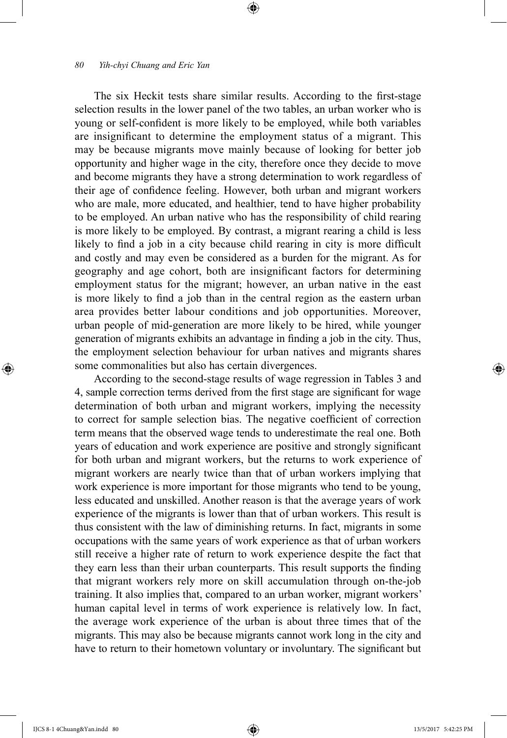The six Heckit tests share similar results. According to the first-stage selection results in the lower panel of the two tables, an urban worker who is young or self-confident is more likely to be employed, while both variables are insignificant to determine the employment status of a migrant. This may be because migrants move mainly because of looking for better job opportunity and higher wage in the city, therefore once they decide to move and become migrants they have a strong determination to work regardless of their age of confidence feeling. However, both urban and migrant workers who are male, more educated, and healthier, tend to have higher probability to be employed. An urban native who has the responsibility of child rearing is more likely to be employed. By contrast, a migrant rearing a child is less likely to find a job in a city because child rearing in city is more difficult and costly and may even be considered as a burden for the migrant. As for geography and age cohort, both are insignificant factors for determining employment status for the migrant; however, an urban native in the east is more likely to find a job than in the central region as the eastern urban area provides better labour conditions and job opportunities. Moreover, urban people of mid-generation are more likely to be hired, while younger generation of migrants exhibits an advantage in finding a job in the city. Thus, the employment selection behaviour for urban natives and migrants shares some commonalities but also has certain divergences.

⊕

According to the second-stage results of wage regression in Tables 3 and 4, sample correction terms derived from the first stage are significant for wage determination of both urban and migrant workers, implying the necessity to correct for sample selection bias. The negative coefficient of correction term means that the observed wage tends to underestimate the real one. Both years of education and work experience are positive and strongly significant for both urban and migrant workers, but the returns to work experience of migrant workers are nearly twice than that of urban workers implying that work experience is more important for those migrants who tend to be young, less educated and unskilled. Another reason is that the average years of work experience of the migrants is lower than that of urban workers. This result is thus consistent with the law of diminishing returns. In fact, migrants in some occupations with the same years of work experience as that of urban workers still receive a higher rate of return to work experience despite the fact that they earn less than their urban counterparts. This result supports the finding that migrant workers rely more on skill accumulation through on-the-job training. It also implies that, compared to an urban worker, migrant workers' human capital level in terms of work experience is relatively low. In fact, the average work experience of the urban is about three times that of the migrants. This may also be because migrants cannot work long in the city and have to return to their hometown voluntary or involuntary. The significant but

⊕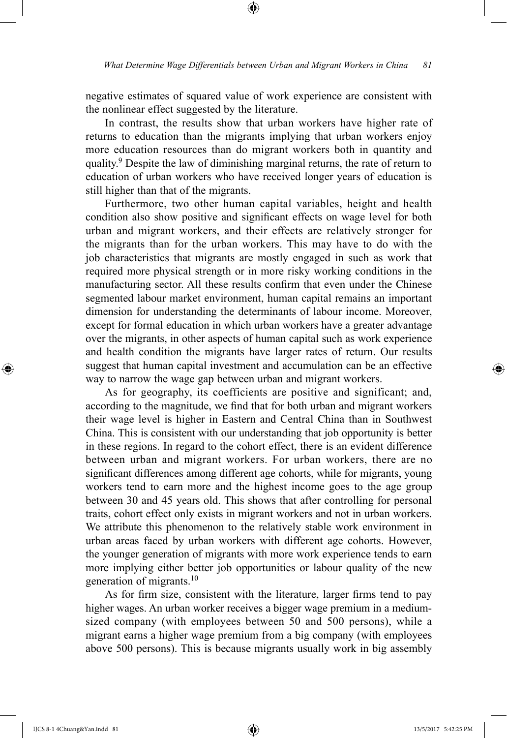negative estimates of squared value of work experience are consistent with the nonlinear effect suggested by the literature.

⊕

In contrast, the results show that urban workers have higher rate of returns to education than the migrants implying that urban workers enjoy more education resources than do migrant workers both in quantity and quality.9 Despite the law of diminishing marginal returns, the rate of return to education of urban workers who have received longer years of education is still higher than that of the migrants.

Furthermore, two other human capital variables, height and health condition also show positive and significant effects on wage level for both urban and migrant workers, and their effects are relatively stronger for the migrants than for the urban workers. This may have to do with the job characteristics that migrants are mostly engaged in such as work that required more physical strength or in more risky working conditions in the manufacturing sector. All these results confirm that even under the Chinese segmented labour market environment, human capital remains an important dimension for understanding the determinants of labour income. Moreover, except for formal education in which urban workers have a greater advantage over the migrants, in other aspects of human capital such as work experience and health condition the migrants have larger rates of return. Our results suggest that human capital investment and accumulation can be an effective way to narrow the wage gap between urban and migrant workers.

As for geography, its coefficients are positive and significant; and, according to the magnitude, we find that for both urban and migrant workers their wage level is higher in Eastern and Central China than in Southwest China. This is consistent with our understanding that job opportunity is better in these regions. In regard to the cohort effect, there is an evident difference between urban and migrant workers. For urban workers, there are no significant differences among different age cohorts, while for migrants, young workers tend to earn more and the highest income goes to the age group between 30 and 45 years old. This shows that after controlling for personal traits, cohort effect only exists in migrant workers and not in urban workers. We attribute this phenomenon to the relatively stable work environment in urban areas faced by urban workers with different age cohorts. However, the younger generation of migrants with more work experience tends to earn more implying either better job opportunities or labour quality of the new generation of migrants.<sup>10</sup>

As for firm size, consistent with the literature, larger firms tend to pay higher wages. An urban worker receives a bigger wage premium in a mediumsized company (with employees between 50 and 500 persons), while a migrant earns a higher wage premium from a big company (with employees above 500 persons). This is because migrants usually work in big assembly

⊕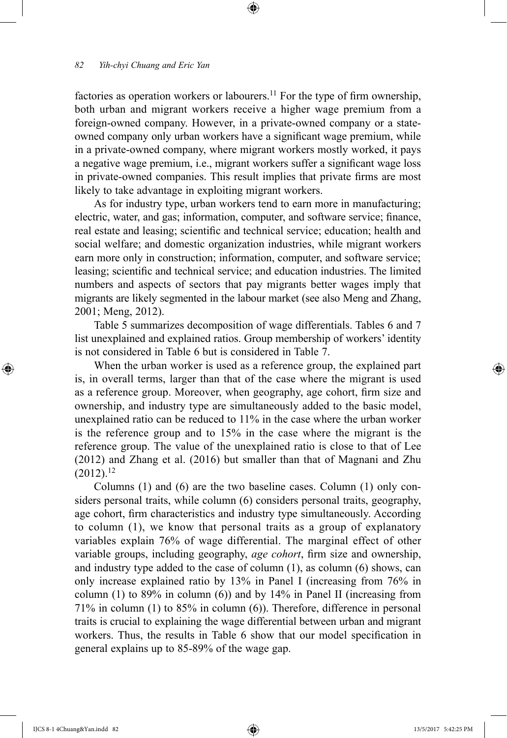factories as operation workers or labourers.<sup>11</sup> For the type of firm ownership, both urban and migrant workers receive a higher wage premium from a foreign-owned company. However, in a private-owned company or a stateowned company only urban workers have a significant wage premium, while in a private-owned company, where migrant workers mostly worked, it pays a negative wage premium, i.e., migrant workers suffer a significant wage loss in private-owned companies. This result implies that private firms are most likely to take advantage in exploiting migrant workers.

⊕

As for industry type, urban workers tend to earn more in manufacturing; electric, water, and gas; information, computer, and software service; finance, real estate and leasing; scientific and technical service; education; health and social welfare; and domestic organization industries, while migrant workers earn more only in construction; information, computer, and software service; leasing; scientific and technical service; and education industries. The limited numbers and aspects of sectors that pay migrants better wages imply that migrants are likely segmented in the labour market (see also Meng and Zhang, 2001; Meng, 2012).

Table 5 summarizes decomposition of wage differentials. Tables 6 and 7 list unexplained and explained ratios. Group membership of workers' identity is not considered in Table 6 but is considered in Table 7.

When the urban worker is used as a reference group, the explained part is, in overall terms, larger than that of the case where the migrant is used as a reference group. Moreover, when geography, age cohort, firm size and ownership, and industry type are simultaneously added to the basic model, unexplained ratio can be reduced to 11% in the case where the urban worker is the reference group and to 15% in the case where the migrant is the reference group. The value of the unexplained ratio is close to that of Lee (2012) and Zhang et al. (2016) but smaller than that of Magnani and Zhu  $(2012).^{12}$ 

Columns (1) and (6) are the two baseline cases. Column (1) only considers personal traits, while column (6) considers personal traits, geography, age cohort, firm characteristics and industry type simultaneously. According to column (1), we know that personal traits as a group of explanatory variables explain 76% of wage differential. The marginal effect of other variable groups, including geography, *age cohort*, firm size and ownership, and industry type added to the case of column  $(1)$ , as column  $(6)$  shows, can only increase explained ratio by 13% in Panel I (increasing from 76% in column (1) to  $89\%$  in column (6)) and by  $14\%$  in Panel II (increasing from 71% in column (1) to 85% in column (6)). Therefore, difference in personal traits is crucial to explaining the wage differential between urban and migrant workers. Thus, the results in Table 6 show that our model specification in general explains up to 85-89% of the wage gap.

IJCS 8-1 4Chuang&Yan.indd 82 13/5/2017 5:42:25 PM

⊕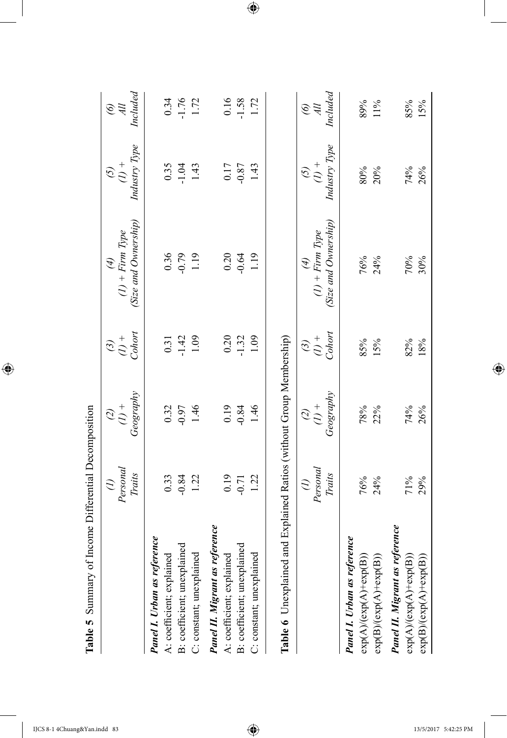|                                                                                                                                                 | $\widehat{z}$  |                                 |                                                                                                                                | E                    |                 |                           |
|-------------------------------------------------------------------------------------------------------------------------------------------------|----------------|---------------------------------|--------------------------------------------------------------------------------------------------------------------------------|----------------------|-----------------|---------------------------|
|                                                                                                                                                 | Personal       | $\widetilde{c}$ $\widetilde{c}$ | $\overset{\text{(3)}}{\underset{\text{(1)}}{\circ}}$                                                                           | $(I)$ + Firm Type    | $\widetilde{S}$ | $\widetilde{\mathcal{E}}$ |
|                                                                                                                                                 | Traits         | Geography                       |                                                                                                                                | (Size and Ownership) | Industry Type   | Included                  |
| Panel I. Urban as reference                                                                                                                     |                |                                 |                                                                                                                                |                      |                 |                           |
| A: coefficient; explained                                                                                                                       | 0.33           |                                 |                                                                                                                                | 0.36                 | 0.35            | 0.34                      |
| B: coefficient; unexplained                                                                                                                     | $-0.84$        | $0.32$<br>$-0.97$               | $\begin{array}{c} 0.31 \\ -1.42 \\ 1.09 \end{array}$                                                                           | $-0.79$<br>1.19      | $-1.04$         | $-1.76$<br>1.72           |
| C: constant; unexplained                                                                                                                        | 1.22           | 1.46                            |                                                                                                                                |                      | 1.43            |                           |
| Panel II. Migrant as reference                                                                                                                  |                |                                 |                                                                                                                                |                      |                 |                           |
| A: coefficient; explained                                                                                                                       | 0.19           | 0.19                            | 0.20                                                                                                                           | 0.20                 | 0.17            | $0.16\,$                  |
| B: coefficient; unexplained                                                                                                                     | $-0.71$        | $-0.84$                         | $-1.32$                                                                                                                        | $-0.64$              | $-0.87$         | $-1.58$                   |
| C: constant; unexplained                                                                                                                        | 1.22           | 1.46                            | 1.09                                                                                                                           | 1.19                 | 1.43            | 1.72                      |
| Table 6 Unexplained and Explained Ratios (without Group Membership)                                                                             |                |                                 |                                                                                                                                |                      |                 |                           |
|                                                                                                                                                 | $\mathcal{L}%$ |                                 |                                                                                                                                | E                    |                 |                           |
|                                                                                                                                                 | Personal       | $\frac{\partial}{\partial t}$   | $\begin{equation*} \begin{array}{l} \mathcal{O} & + \ \mathcal{O} & + \ \mathcal{O} & \mathcal{O} \end{array} \end{equation*}$ | $(I)$ + Firm Type    | $\widetilde{S}$ | $\widetilde{\mathcal{E}}$ |
|                                                                                                                                                 | Traits         | Geography                       |                                                                                                                                | Size and Ownership)  | Industry Type   | Included                  |
| <b>Panel I. Urban as reference</b>                                                                                                              |                |                                 |                                                                                                                                |                      |                 |                           |
|                                                                                                                                                 | 76%            | 78%                             | 85%                                                                                                                            | 76%                  | 80%             | 89%                       |
| $\begin{array}{l} \exp(\mathbf{A}) (\exp(\mathbf{A}) + \exp(\mathbf{B})) \\ \exp(\mathbf{B}) (\exp(\mathbf{A}) + \exp(\mathbf{B})) \end{array}$ | 24%            | 22%                             | 15%                                                                                                                            | 24%                  | 20%             | $11\%$                    |
| Panel II. Migrant as reference                                                                                                                  |                |                                 |                                                                                                                                |                      |                 |                           |
| $exp(A)/(exp(A)+exp(B))$                                                                                                                        | 71%            | 74%                             | 82%                                                                                                                            | 70%                  | 74%             | 85%                       |
| $\exp(B)/(exp(A)+exp(B))$                                                                                                                       | 29%            | 26%                             | 18%                                                                                                                            | 30%                  | 26%             | 15%                       |

Table 5 Summary of Income Differential Decomposition **Table 5** Summary of Income Differential Decomposition

 $\bigoplus$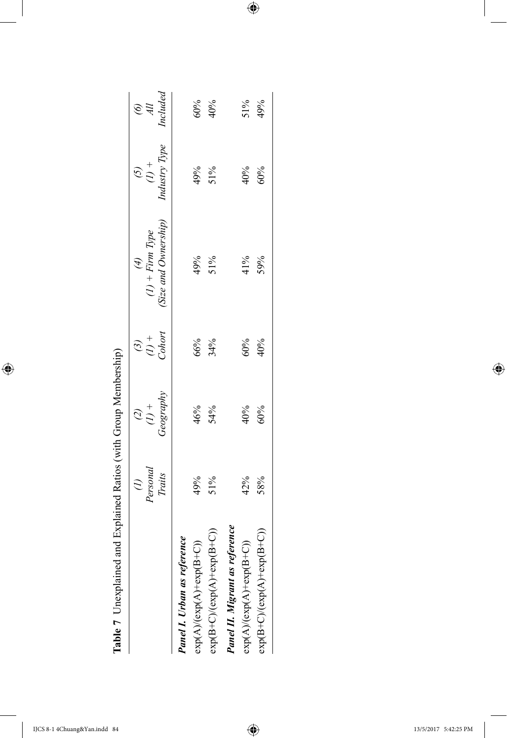| 5<br>$\overline{\mathcal{L}}$          |
|----------------------------------------|
| ļ<br>$\frac{1}{2}$                     |
| l                                      |
|                                        |
| ֖ׅ֚֚֚֚֚֚֚֚֚֚֚֚֚֚֚֚֚֬֡֡֡֡֡֡֡֡֡֡֓֡֡<br>l |
| ا<br>موجد با<br>١<br>てんしゅう             |
| ׇ֚֚֬<br>י<br>ו                         |
| ı<br>י<br>ו                            |

 $\overline{\phantom{a}}$ 

 $\bigoplus$ 

| Table 7 Unexplained and Explained Ratios (with Group Membership) |                    |                                 |                                                 |                                               |                                                      |                 |
|------------------------------------------------------------------|--------------------|---------------------------------|-------------------------------------------------|-----------------------------------------------|------------------------------------------------------|-----------------|
|                                                                  | Personal<br>Traits | Geography<br>$\frac{1}{2}$<br>Q | Cohort<br>$\stackrel{+}{\sim}$<br>$\mathcal{G}$ | Size and Ownership)<br>$(I)$ + Firm Type<br>Ð | Industry Type<br>$\stackrel{+}{\sim}$<br>$\tilde{c}$ | Included<br>e # |
|                                                                  |                    |                                 |                                                 |                                               |                                                      |                 |
| <i>reence</i><br>Panel I. Urban as ref                           |                    |                                 |                                                 |                                               |                                                      |                 |
| $\widehat{\mathrm{B}}^{+}$<br>$exp(A)/(exp(A)+exp(I$             | 49%                | 46%                             | 66%                                             | 49%                                           | 49%                                                  | 60%             |
| $\exp(B+C)/(exp(A)+exp(B+C))$                                    | 51%                | 54%                             | 34%                                             | 51%                                           | 51%                                                  | 40%             |
| Panel II. Migrant as reference                                   |                    |                                 |                                                 |                                               |                                                      |                 |
| $B+C$ )<br>$exp(A)/(exp(A)+exp(I))$                              | 42%                | 40%                             | 60%                                             | 41%                                           | 40%                                                  | $51\%$          |
| $\exp(B+C)/(exp(A)+exp(B+C))$                                    | 58%                | 60%                             | 40%                                             | 59%                                           | 60%                                                  | 49%             |
|                                                                  |                    |                                 |                                                 |                                               |                                                      |                 |

 $\bigoplus$ 

 $\overline{\phantom{a}}$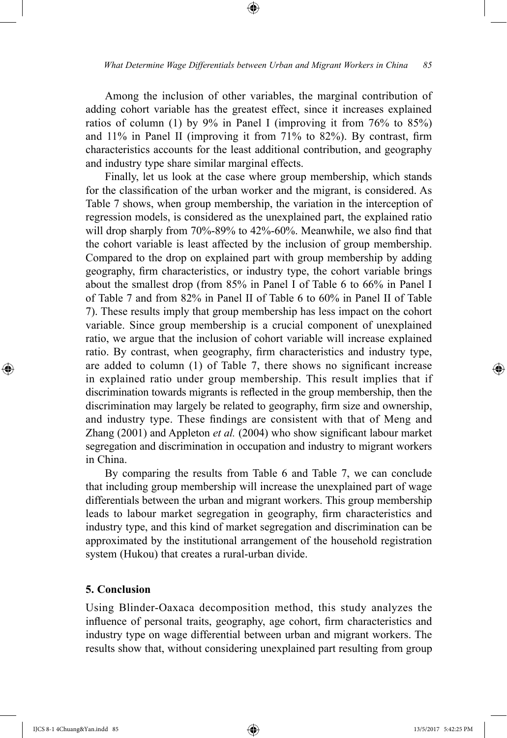⊕

Among the inclusion of other variables, the marginal contribution of adding cohort variable has the greatest effect, since it increases explained ratios of column (1) by 9% in Panel I (improving it from 76% to 85%) and 11% in Panel II (improving it from 71% to 82%). By contrast, firm characteristics accounts for the least additional contribution, and geography and industry type share similar marginal effects.

Finally, let us look at the case where group membership, which stands for the classification of the urban worker and the migrant, is considered. As Table 7 shows, when group membership, the variation in the interception of regression models, is considered as the unexplained part, the explained ratio will drop sharply from 70%-89% to 42%-60%. Meanwhile, we also find that the cohort variable is least affected by the inclusion of group membership. Compared to the drop on explained part with group membership by adding geography, firm characteristics, or industry type, the cohort variable brings about the smallest drop (from 85% in Panel I of Table 6 to 66% in Panel I of Table 7 and from 82% in Panel II of Table 6 to 60% in Panel II of Table 7). These results imply that group membership has less impact on the cohort variable. Since group membership is a crucial component of unexplained ratio, we argue that the inclusion of cohort variable will increase explained ratio. By contrast, when geography, firm characteristics and industry type, are added to column (1) of Table 7, there shows no significant increase in explained ratio under group membership. This result implies that if discrimination towards migrants is reflected in the group membership, then the discrimination may largely be related to geography, firm size and ownership, and industry type. These findings are consistent with that of Meng and Zhang (2001) and Appleton *et al.* (2004) who show significant labour market segregation and discrimination in occupation and industry to migrant workers in China.

By comparing the results from Table 6 and Table 7, we can conclude that including group membership will increase the unexplained part of wage differentials between the urban and migrant workers. This group membership leads to labour market segregation in geography, firm characteristics and industry type, and this kind of market segregation and discrimination can be approximated by the institutional arrangement of the household registration system (Hukou) that creates a rural-urban divide.

# **5. Conclusion**

Using Blinder-Oaxaca decomposition method, this study analyzes the influence of personal traits, geography, age cohort, firm characteristics and industry type on wage differential between urban and migrant workers. The results show that, without considering unexplained part resulting from group

⊕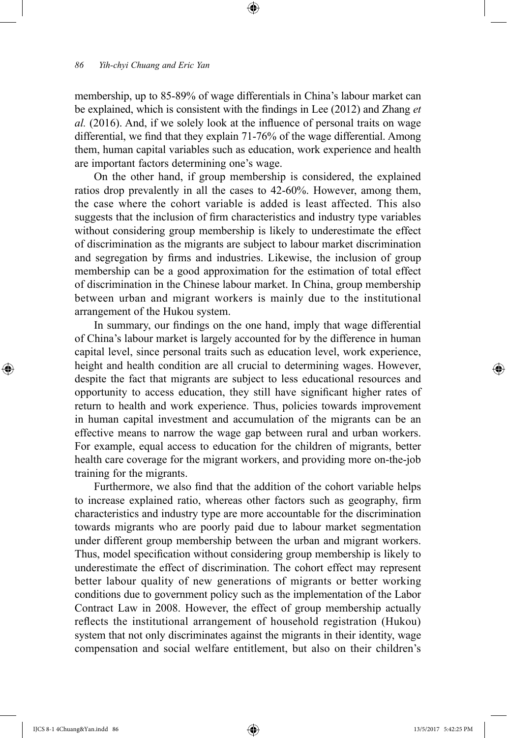membership, up to 85-89% of wage differentials in China's labour market can be explained, which is consistent with the findings in Lee (2012) and Zhang *et al.* (2016). And, if we solely look at the influence of personal traits on wage differential, we find that they explain 71-76% of the wage differential. Among them, human capital variables such as education, work experience and health are important factors determining one's wage.

⊕

On the other hand, if group membership is considered, the explained ratios drop prevalently in all the cases to 42-60%. However, among them, the case where the cohort variable is added is least affected. This also suggests that the inclusion of firm characteristics and industry type variables without considering group membership is likely to underestimate the effect of discrimination as the migrants are subject to labour market discrimination and segregation by firms and industries. Likewise, the inclusion of group membership can be a good approximation for the estimation of total effect of discrimination in the Chinese labour market. In China, group membership between urban and migrant workers is mainly due to the institutional arrangement of the Hukou system.

In summary, our findings on the one hand, imply that wage differential of China's labour market is largely accounted for by the difference in human capital level, since personal traits such as education level, work experience, height and health condition are all crucial to determining wages. However, despite the fact that migrants are subject to less educational resources and opportunity to access education, they still have significant higher rates of return to health and work experience. Thus, policies towards improvement in human capital investment and accumulation of the migrants can be an effective means to narrow the wage gap between rural and urban workers. For example, equal access to education for the children of migrants, better health care coverage for the migrant workers, and providing more on-the-job training for the migrants.

Furthermore, we also find that the addition of the cohort variable helps to increase explained ratio, whereas other factors such as geography, firm characteristics and industry type are more accountable for the discrimination towards migrants who are poorly paid due to labour market segmentation under different group membership between the urban and migrant workers. Thus, model specification without considering group membership is likely to underestimate the effect of discrimination. The cohort effect may represent better labour quality of new generations of migrants or better working conditions due to government policy such as the implementation of the Labor Contract Law in 2008. However, the effect of group membership actually reflects the institutional arrangement of household registration (Hukou) system that not only discriminates against the migrants in their identity, wage compensation and social welfare entitlement, but also on their children's

⊕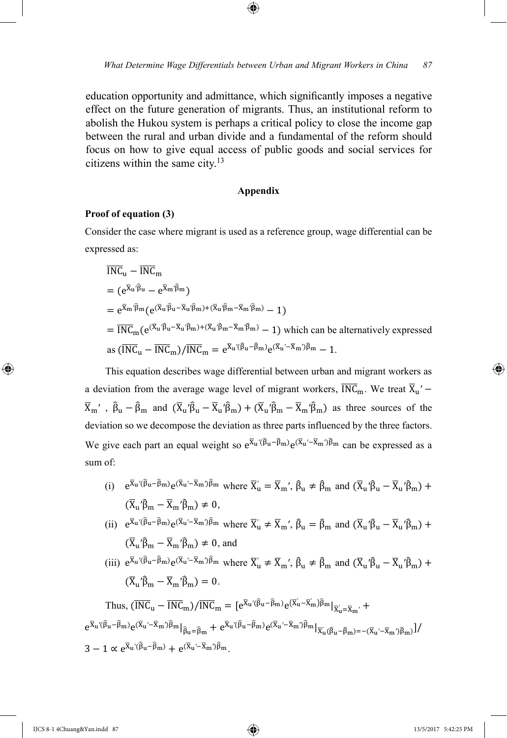education opportunity and admittance, which significantly imposes a negative effect on the future generation of migrants. Thus, an institutional reform to abolish the Hukou system is perhaps a critical policy to close the income gap between the rural and urban divide and a fundamental of the reform should focus on how to give equal access of public goods and social services for citizens within the same city.13

#### **Appendix**

### **Proof of equation (3)**

Consider the case where migrant is used as a reference group, wage differential can be expressed as:

$$
\overline{INC}_{u} - \overline{INC}_{m}
$$
\n=  $(e^{\overline{X}_{u} \cdot \widehat{\beta}_{u}} - e^{\overline{X}_{m} \cdot \widehat{\beta}_{m}})$   
\n=  $e^{\overline{X}_{m} \cdot \widehat{\beta}_{m}} (e^{(\overline{X}_{u} \cdot \widehat{\beta}_{u} - \overline{X}_{u} \cdot \widehat{\beta}_{m}) + (\overline{X}_{u} \cdot \widehat{\beta}_{m} - \overline{X}_{m} \cdot \widehat{\beta}_{m})} - 1)$   
\n=  $\overline{INC}_{m} (e^{(\overline{X}_{u} \cdot \widehat{\beta}_{u} - \overline{X}_{u} \cdot \widehat{\beta}_{m}) + (\overline{X}_{u} \cdot \widehat{\beta}_{m} - \overline{X}_{m} \cdot \widehat{\beta}_{m})} - 1)$  which can be alternatively expressed as  $(\overline{INC}_{u} - \overline{INC}_{m}) / \overline{INC}_{m} = e^{\overline{X}_{u} \cdot (\widehat{\beta}_{u} - \widehat{\beta}_{m})} e^{(\overline{X}_{u} \cdot - \overline{X}_{m}) \cdot \widehat{\beta}_{m}} - 1.$ 

This equation describes wage differential between urban and migrant workers as a deviation from the average wage level of migrant workers,  $\overline{INC}_m$ . We treat  $\overline{X}_u'$  –  $\overline{X}_m'$ ,  $\hat{\beta}_u - \hat{\beta}_m$  and  $(\overline{X}_u'\hat{\beta}_u - \overline{X}_u'\hat{\beta}_m) + (\overline{X}_u'\hat{\beta}_m - \overline{X}_m'\hat{\beta}_m)$  as three sources of the deviation so we decompose the deviation as three parts influenced by the three factors. We give each part an equal weight so  $e^{\bar{X}_u(\beta_u - \beta_m)}e^{(\bar{X}_u - \bar{X}_m)\beta_m}$  can be expressed as a sum of:

(i)  $e^{\overline{X}_u'(\hat{\beta}_u - \hat{\beta}_m)} e^{(\overline{X}_u' - \overline{X}_m')\hat{\beta}_m}$  where  $\overline{X}_u' = \overline{X}_m'$ ,  $\hat{\beta}_u \neq \hat{\beta}_m$  and  $(\overline{X}_u' \hat{\beta}_u - \overline{X}_u' \hat{\beta}_m) +$  $(\overline{X}_{\text{u}}'\hat{\beta}_{\text{m}} - \overline{X}_{\text{m}}'\hat{\beta}_{\text{m}}) \neq 0$ ,

(ii)  $e^{\overline{X}_u'(\hat{\beta}_u - \hat{\beta}_m)} e^{(\overline{X}_u' - \overline{X}_m')\hat{\beta}_m}$  where  $\overline{X}'_u \neq \overline{X}_m'$ ,  $\hat{\beta}_u = \hat{\beta}_m$  and  $(\overline{X}_u' \hat{\beta}_u - \overline{X}_u' \hat{\beta}_m) +$  $(\overline{X}_{1}$ ' $\hat{\beta}_{m} - \overline{X}_{m}$ ' $\hat{\beta}_{m}$ )  $\neq$  0, and

(iii)  $e^{\overline{X}_{u}(\hat{\beta}_{u}-\hat{\beta}_{m})}e^{(\overline{X}_{u}'-\overline{X}_{m})\hat{\beta}_{m}}$  where  $\overline{X}'_{u} \neq \overline{X}_{m}', \hat{\beta}_{u} \neq \hat{\beta}_{m}$  and  $(\overline{X}_{u}'\hat{\beta}_{u}-\overline{X}_{u}'\hat{\beta}_{m}) +$  $(\overline{X}_{\text{u}}'\hat{\beta}_{\text{m}} - \overline{X}_{\text{m}}'\hat{\beta}_{\text{m}}) = 0.$ 

Thus, 
$$
(\overline{INC}_{u} - \overline{INC}_{m}) / \overline{INC}_{m} = [e^{\overline{X}_{u} \cdot (\widehat{\beta}_{u} - \widehat{\beta}_{m})} e^{(\overline{X}_{u} - \overline{X}_{m})\widehat{\beta}_{m}}|_{\overline{X}_{u} = \overline{X}_{m'}} +
$$
  
\n $e^{\overline{X}_{u} \cdot (\widehat{\beta}_{u} - \widehat{\beta}_{m})} e^{(\overline{X}_{u} \cdot - \overline{X}_{m})\widehat{\beta}_{m}}|_{\widehat{\beta}_{u} = \widehat{\beta}_{m}} + e^{\overline{X}_{u} \cdot (\widehat{\beta}_{u} - \widehat{\beta}_{m})} e^{(\overline{X}_{u} \cdot - \overline{X}_{m})\widehat{\beta}_{m}}|_{\overline{X}_{u} \cdot (\widehat{\beta}_{u} - \widehat{\beta}_{m}) = -(\overline{X}_{u} \cdot - \overline{X}_{m})\widehat{\beta}_{m}}]/$   
\n $3 - 1 \propto e^{\overline{X}_{u} \cdot (\widehat{\beta}_{u} - \widehat{\beta}_{m})} + e^{(\overline{X}_{u} \cdot - \overline{X}_{m})\widehat{\beta}_{m}}.$ 

⊕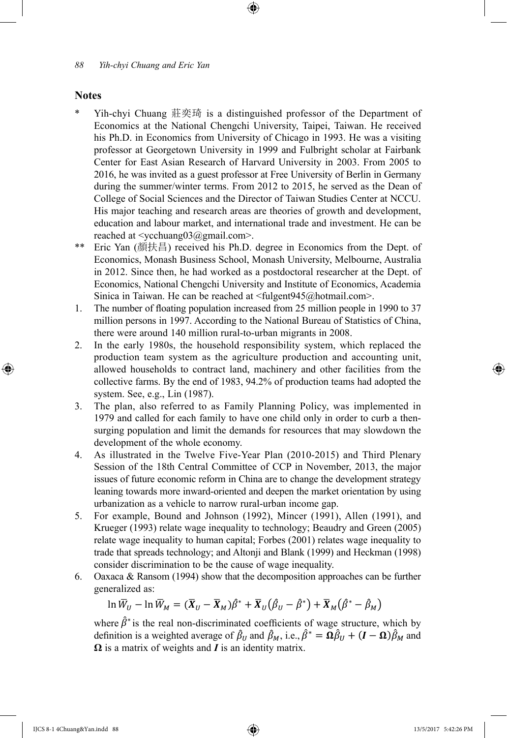### **Notes**

⊕

\* Yih-chyi Chuang 莊奕琦 is a distinguished professor of the Department of Economics at the National Chengchi University, Taipei, Taiwan. He received his Ph.D. in Economics from University of Chicago in 1993. He was a visiting professor at Georgetown University in 1999 and Fulbright scholar at Fairbank Center for East Asian Research of Harvard University in 2003. From 2005 to 2016, he was invited as a guest professor at Free University of Berlin in Germany during the summer/winter terms. From 2012 to 2015, he served as the Dean of College of Social Sciences and the Director of Taiwan Studies Center at NCCU. His major teaching and research areas are theories of growth and development, education and labour market, and international trade and investment. He can be reached at <ycchuang03@gmail.com>.

⊕

- \*\* Eric Yan (顏扶昌) received his Ph.D. degree in Economics from the Dept. of Economics, Monash Business School, Monash University, Melbourne, Australia in 2012. Since then, he had worked as a postdoctoral researcher at the Dept. of Economics, National Chengchi University and Institute of Economics, Academia Sinica in Taiwan. He can be reached at <fulgent945@hotmail.com>.
- 1. The number of floating population increased from 25 million people in 1990 to 37 million persons in 1997. According to the National Bureau of Statistics of China, there were around 140 million rural-to-urban migrants in 2008.
- 2. In the early 1980s, the household responsibility system, which replaced the production team system as the agriculture production and accounting unit, allowed households to contract land, machinery and other facilities from the collective farms. By the end of 1983, 94.2% of production teams had adopted the system. See, e.g., Lin (1987).
- 3. The plan, also referred to as Family Planning Policy, was implemented in 1979 and called for each family to have one child only in order to curb a thensurging population and limit the demands for resources that may slowdown the development of the whole economy.
- 4. As illustrated in the Twelve Five-Year Plan (2010-2015) and Third Plenary Session of the 18th Central Committee of CCP in November, 2013, the major issues of future economic reform in China are to change the development strategy leaning towards more inward-oriented and deepen the market orientation by using urbanization as a vehicle to narrow rural-urban income gap.
- 5. For example, Bound and Johnson (1992), Mincer (1991), Allen (1991), and Krueger (1993) relate wage inequality to technology; Beaudry and Green (2005) relate wage inequality to human capital; Forbes (2001) relates wage inequality to trade that spreads technology; and Altonji and Blank (1999) and Heckman (1998) consider discrimination to be the cause of wage inequality.
- 6. Oaxaca & Ransom (1994) show that the decomposition approaches can be further generalized as:

 $\ln \overline{W}_U - \ln \overline{W}_M = (\overline{X}_U - \overline{X}_M)\overline{\beta}^* + \overline{X}_U(\overline{\beta}_U - \overline{\beta}^*) + \overline{X}_M(\overline{\beta}^* - \overline{\beta}_M)$ 

where  $\hat{\beta}^*$  is the real non-discriminated coefficients of wage structure, which by definition is a weighted average of  $\beta_U$  and  $\beta_M$ , i.e.,  $\beta^* = \mathbf{\Omega} \beta_U + (\mathbf{I} - \mathbf{\Omega}) \beta_M$  and **Ω** is a matrix of weights and *I* is an identity matrix.

*<sup>88</sup> Yih-chyi Chuang and Eric Yan*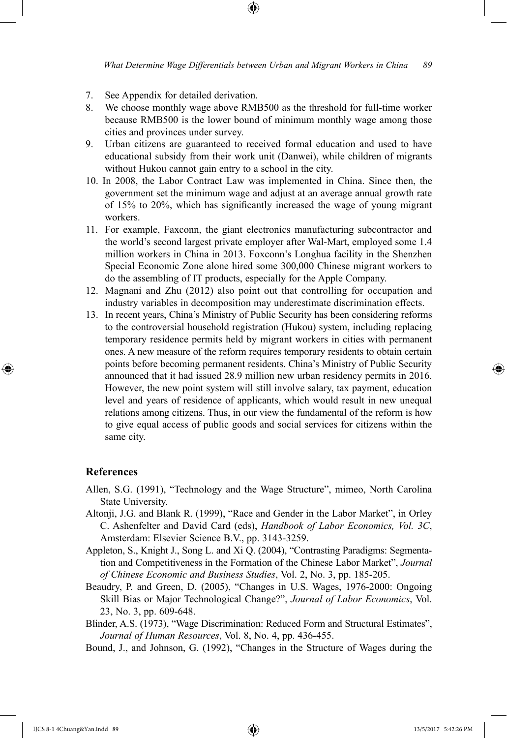- 7. See Appendix for detailed derivation.
- 8. We choose monthly wage above RMB500 as the threshold for full-time worker because RMB500 is the lower bound of minimum monthly wage among those cities and provinces under survey.
- 9. Urban citizens are guaranteed to received formal education and used to have educational subsidy from their work unit (Danwei), while children of migrants without Hukou cannot gain entry to a school in the city.
- 10. In 2008, the Labor Contract Law was implemented in China. Since then, the government set the minimum wage and adjust at an average annual growth rate of 15% to 20%, which has significantly increased the wage of young migrant workers.
- 11. For example, Faxconn, the giant electronics manufacturing subcontractor and the world's second largest private employer after Wal-Mart, employed some 1.4 million workers in China in 2013. Foxconn's Longhua facility in the Shenzhen Special Economic Zone alone hired some 300,000 Chinese migrant workers to do the assembling of IT products, especially for the Apple Company.
- 12. Magnani and Zhu (2012) also point out that controlling for occupation and industry variables in decomposition may underestimate discrimination effects.
- 13. In recent years, China's Ministry of Public Security has been considering reforms to the controversial household registration (Hukou) system, including replacing temporary residence permits held by migrant workers in cities with permanent ones. A new measure of the reform requires temporary residents to obtain certain points before becoming permanent residents. China's Ministry of Public Security announced that it had issued 28.9 million new urban residency permits in 2016. However, the new point system will still involve salary, tax payment, education level and years of residence of applicants, which would result in new unequal relations among citizens. Thus, in our view the fundamental of the reform is how to give equal access of public goods and social services for citizens within the same city.

#### **References**

⊕

- Allen, S.G. (1991), "Technology and the Wage Structure", mimeo, North Carolina State University.
- Altonji, J.G. and Blank R. (1999), "Race and Gender in the Labor Market", in Orley C. Ashenfelter and David Card (eds), *Handbook of Labor Economics, Vol. 3C*, Amsterdam: Elsevier Science B.V., pp. 3143-3259.
- Appleton, S., Knight J., Song L. and Xi Q. (2004), "Contrasting Paradigms: Segmentation and Competitiveness in the Formation of the Chinese Labor Market", *Journal of Chinese Economic and Business Studies*, Vol. 2, No. 3, pp. 185-205.
- Beaudry, P. and Green, D. (2005), "Changes in U.S. Wages, 1976-2000: Ongoing Skill Bias or Major Technological Change?", *Journal of Labor Economics*, Vol. 23, No. 3, pp. 609-648.
- Blinder, A.S. (1973), "Wage Discrimination: Reduced Form and Structural Estimates", *Journal of Human Resources*, Vol. 8, No. 4, pp. 436-455.
- Bound, J., and Johnson, G. (1992), "Changes in the Structure of Wages during the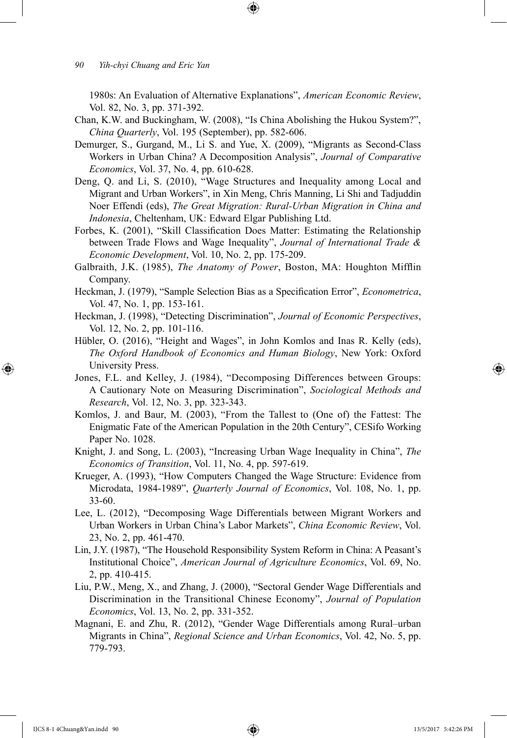1980s: An Evaluation of Alternative Explanations", *American Economic Review*, Vol. 82, No. 3, pp. 371-392.

⊕

- Chan, K.W. and Buckingham, W. (2008), "Is China Abolishing the Hukou System?", *China Quarterly*, Vol. 195 (September), pp. 582-606.
- Demurger, S., Gurgand, M., Li S. and Yue, X. (2009), "Migrants as Second-Class Workers in Urban China? A Decomposition Analysis", *Journal of Comparative Economics*, Vol. 37, No. 4, pp. 610-628.
- Deng, Q. and Li, S. (2010), "Wage Structures and Inequality among Local and Migrant and Urban Workers", in Xin Meng, Chris Manning, Li Shi and Tadjuddin Noer Effendi (eds), *The Great Migration: Rural-Urban Migration in China and Indonesia*, Cheltenham, UK: Edward Elgar Publishing Ltd.
- Forbes, K. (2001), "Skill Classification Does Matter: Estimating the Relationship between Trade Flows and Wage Inequality", *Journal of International Trade & Economic Development*, Vol. 10, No. 2, pp. 175-209.
- Galbraith, J.K. (1985), *The Anatomy of Power*, Boston, MA: Houghton Mifflin Company.
- Heckman, J. (1979), "Sample Selection Bias as a Specification Error", *Econometrica*, Vol. 47, No. 1, pp. 153-161.
- Heckman, J. (1998), "Detecting Discrimination", *Journal of Economic Perspectives*, Vol. 12, No. 2, pp. 101-116.
- Hübler, O. (2016), "Height and Wages", in John Komlos and Inas R. Kelly (eds), *The Oxford Handbook of Economics and Human Biology*, New York: Oxford University Press.
- Jones, F.L. and Kelley, J. (1984), "Decomposing Differences between Groups: A Cautionary Note on Measuring Discrimination", *Sociological Methods and Research*, Vol. 12, No. 3, pp. 323-343.
- Komlos, J. and Baur, M. (2003), "From the Tallest to (One of) the Fattest: The Enigmatic Fate of the American Population in the 20th Century", CESifo Working Paper No. 1028.
- Knight, J. and Song, L. (2003), "Increasing Urban Wage Inequality in China", *The Economics of Transition*, Vol. 11, No. 4, pp. 597-619.
- Krueger, A. (1993), "How Computers Changed the Wage Structure: Evidence from Microdata, 1984-1989", *Quarterly Journal of Economics*, Vol. 108, No. 1, pp. 33-60.
- Lee, L. (2012), "Decomposing Wage Differentials between Migrant Workers and Urban Workers in Urban China's Labor Markets", *China Economic Review*, Vol. 23, No. 2, pp. 461-470.
- Lin, J.Y. (1987), "The Household Responsibility System Reform in China: A Peasant's Institutional Choice", *American Journal of Agriculture Economics*, Vol. 69, No. 2, pp. 410-415.
- Liu, P.W., Meng, X., and Zhang, J. (2000), "Sectoral Gender Wage Differentials and Discrimination in the Transitional Chinese Economy", *Journal of Population Economics*, Vol. 13, No. 2, pp. 331-352.
- Magnani, E. and Zhu, R. (2012), "Gender Wage Differentials among Rural–urban Migrants in China", *Regional Science and Urban Economics*, Vol. 42, No. 5, pp. 779-793.

⊕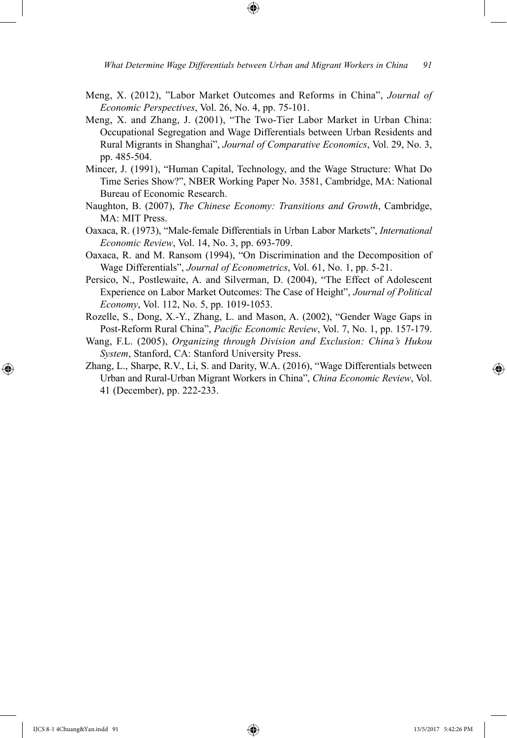Meng, X. (2012), "Labor Market Outcomes and Reforms in China", *Journal of Economic Perspectives*, Vol. 26, No. 4, pp. 75-101.

⊕

- Meng, X. and Zhang, J. (2001), "The Two-Tier Labor Market in Urban China: Occupational Segregation and Wage Differentials between Urban Residents and Rural Migrants in Shanghai", *Journal of Comparative Economics*, Vol. 29, No. 3, pp. 485-504.
- Mincer, J. (1991), "Human Capital, Technology, and the Wage Structure: What Do Time Series Show?", NBER Working Paper No. 3581, Cambridge, MA: National Bureau of Economic Research.
- Naughton, B. (2007), *The Chinese Economy: Transitions and Growth*, Cambridge, MA: MIT Press.
- Oaxaca, R. (1973), "Male-female Differentials in Urban Labor Markets", *International Economic Review*, Vol. 14, No. 3, pp. 693-709.
- Oaxaca, R. and M. Ransom (1994), "On Discrimination and the Decomposition of Wage Differentials", *Journal of Econometrics*, Vol. 61, No. 1, pp. 5-21.
- Persico, N., Postlewaite, A. and Silverman, D. (2004), "The Effect of Adolescent Experience on Labor Market Outcomes: The Case of Height", *Journal of Political Economy*, Vol. 112, No. 5, pp. 1019-1053.
- Rozelle, S., Dong, X.-Y., Zhang, L. and Mason, A. (2002), "Gender Wage Gaps in Post-Reform Rural China", *Pacific Economic Review*, Vol. 7, No. 1, pp. 157-179.
- Wang, F.L. (2005), *Organizing through Division and Exclusion: China's Hukou System*, Stanford, CA: Stanford University Press.
- Zhang, L., Sharpe, R.V., Li, S. and Darity, W.A. (2016), "Wage Differentials between Urban and Rural-Urban Migrant Workers in China", *China Economic Review*, Vol. 41 (December), pp. 222-233.

⊕